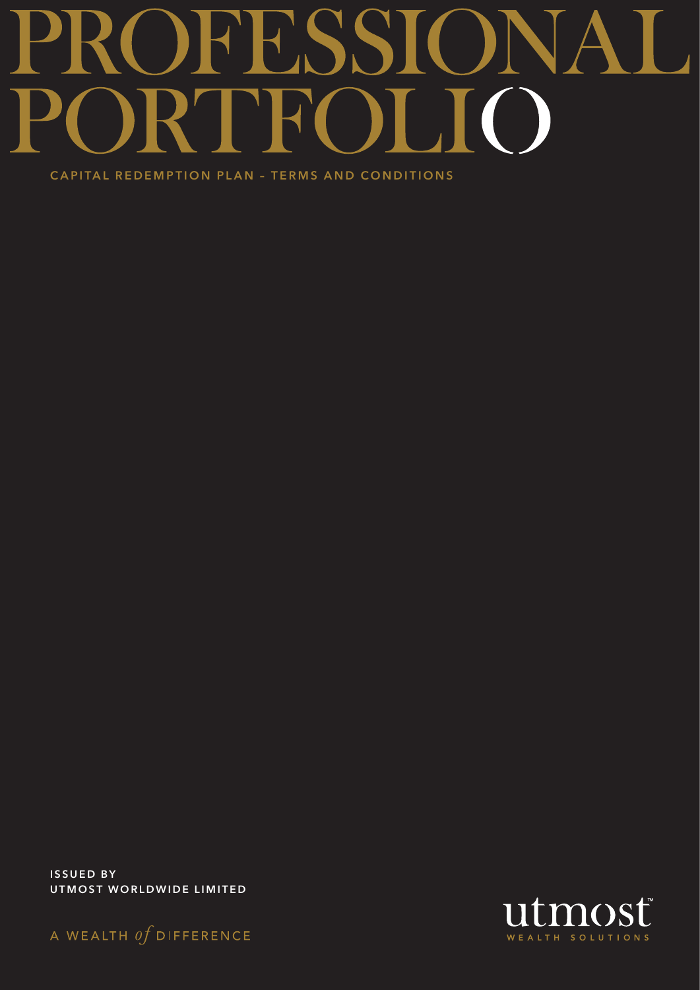# 98 TH.  $\blacktriangleright$  $\bigcap$

CAPITAL REDEMPTION PLAN – TERMS AND CONDITIONS

ISSUED BY UTMOST WORLDWIDE LIMITED



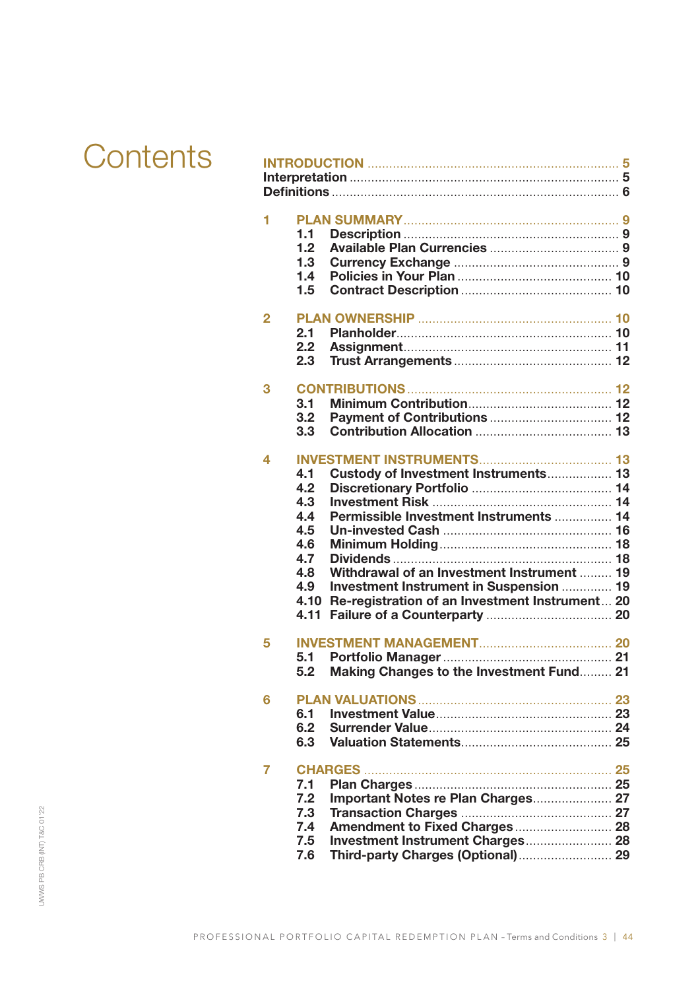# **Contents**

| 1<br>1.1<br>1.2<br>1.3<br>1.4<br>1.5                                             |                                                                                                                                                                                                                           |  |
|----------------------------------------------------------------------------------|---------------------------------------------------------------------------------------------------------------------------------------------------------------------------------------------------------------------------|--|
| 2<br>2.1<br>2.2<br>2.3                                                           |                                                                                                                                                                                                                           |  |
| 3<br>3.1<br>3.2<br>3.3                                                           |                                                                                                                                                                                                                           |  |
| 4<br>4.1<br>4.2<br>4.3<br>4.4<br>4.5<br>4.6<br>4.7<br>4.8<br>4.9<br>4.10<br>4.11 | Custody of Investment Instruments 13<br>Permissible Investment Instruments  14<br>Withdrawal of an Investment Instrument  19<br>Investment Instrument in Suspension  19<br>Re-registration of an Investment Instrument 20 |  |
| 5<br>5.1<br>5.2                                                                  | Making Changes to the Investment Fund 21                                                                                                                                                                                  |  |
| 6<br>6.1<br>6.2<br>6.3                                                           |                                                                                                                                                                                                                           |  |
| 7<br>7.1<br>7.2<br>7.3<br>7.4<br>7.5<br>7.6                                      | Important Notes re Plan Charges 27<br>Third-party Charges (Optional) 29                                                                                                                                                   |  |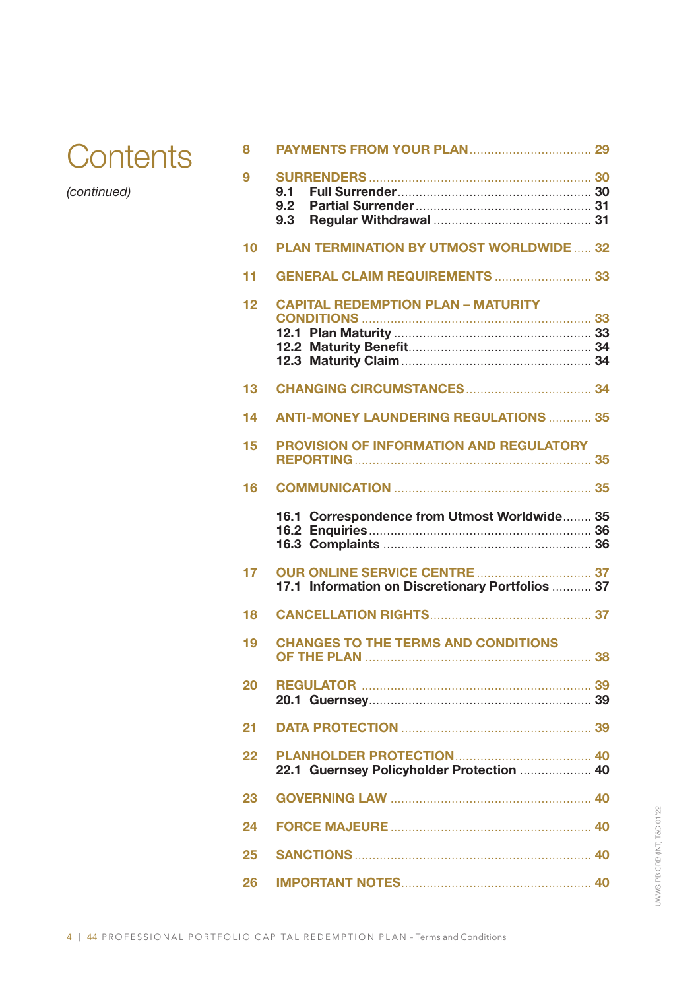

*(continued)*

| 8  |                                                  |  |
|----|--------------------------------------------------|--|
| 9  | 9.1<br>9.2<br>9.3                                |  |
| 10 | <b>PLAN TERMINATION BY UTMOST WORLDWIDE 32</b>   |  |
|    |                                                  |  |
| 11 | GENERAL CLAIM REQUIREMENTS  33                   |  |
| 12 | <b>CAPITAL REDEMPTION PLAN - MATURITY</b>        |  |
|    |                                                  |  |
|    |                                                  |  |
| 13 |                                                  |  |
| 14 | <b>ANTI-MONEY LAUNDERING REGULATIONS  35</b>     |  |
|    |                                                  |  |
| 15 | <b>PROVISION OF INFORMATION AND REGULATORY</b>   |  |
| 16 |                                                  |  |
|    | 16.1 Correspondence from Utmost Worldwide 35     |  |
| 17 | 17.1 Information on Discretionary Portfolios  37 |  |
| 18 |                                                  |  |
| 19 | <b>CHANGES TO THE TERMS AND CONDITIONS</b>       |  |
| 20 |                                                  |  |
| 21 |                                                  |  |
| 22 | 22.1 Guernsey Policyholder Protection  40        |  |
| 23 |                                                  |  |
| 24 |                                                  |  |
| 25 |                                                  |  |
| 26 |                                                  |  |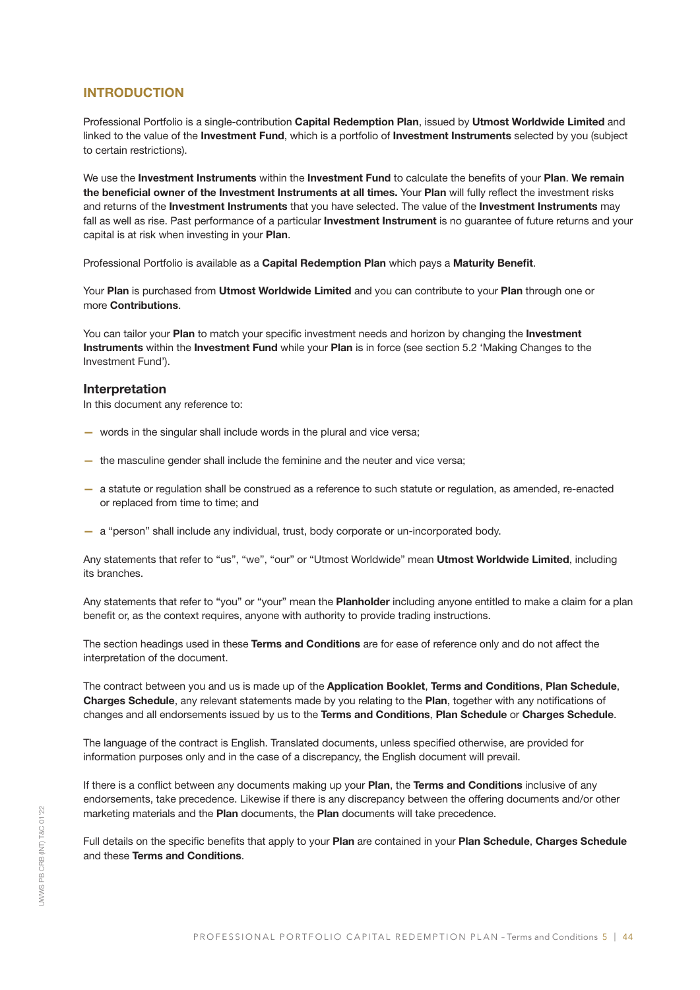## **INTRODUCTION**

Professional Portfolio is a single-contribution Capital Redemption Plan, issued by Utmost Worldwide Limited and linked to the value of the Investment Fund, which is a portfolio of Investment Instruments selected by you (subject to certain restrictions).

We use the Investment Instruments within the Investment Fund to calculate the benefits of your Plan. We remain the beneficial owner of the Investment Instruments at all times. Your Plan will fully reflect the investment risks and returns of the Investment Instruments that you have selected. The value of the Investment Instruments may fall as well as rise. Past performance of a particular Investment Instrument is no guarantee of future returns and your capital is at risk when investing in your Plan.

Professional Portfolio is available as a Capital Redemption Plan which pays a Maturity Benefit.

Your Plan is purchased from Utmost Worldwide Limited and you can contribute to your Plan through one or more Contributions.

You can tailor your Plan to match your specific investment needs and horizon by changing the Investment Instruments within the Investment Fund while your Plan is in force (see section 5.2 'Making Changes to the Investment Fund').

#### Interpretation

In this document any reference to:

- words in the singular shall include words in the plural and vice versa;
- the masculine gender shall include the feminine and the neuter and vice versa;
- a statute or regulation shall be construed as a reference to such statute or regulation, as amended, re-enacted or replaced from time to time; and
- a "person" shall include any individual, trust, body corporate or un-incorporated body.

Any statements that refer to "us", "we", "our" or "Utmost Worldwide" mean Utmost Worldwide Limited, including its branches.

Any statements that refer to "you" or "your" mean the Planholder including anyone entitled to make a claim for a plan benefit or, as the context requires, anyone with authority to provide trading instructions.

The section headings used in these Terms and Conditions are for ease of reference only and do not affect the interpretation of the document.

The contract between you and us is made up of the Application Booklet, Terms and Conditions, Plan Schedule, Charges Schedule, any relevant statements made by you relating to the Plan, together with any notifications of changes and all endorsements issued by us to the Terms and Conditions, Plan Schedule or Charges Schedule.

The language of the contract is English. Translated documents, unless specified otherwise, are provided for information purposes only and in the case of a discrepancy, the English document will prevail.

If there is a conflict between any documents making up your Plan, the Terms and Conditions inclusive of any endorsements, take precedence. Likewise if there is any discrepancy between the offering documents and/or other marketing materials and the Plan documents, the Plan documents will take precedence.

Full details on the specific benefits that apply to your Plan are contained in your Plan Schedule, Charges Schedule and these Terms and Conditions.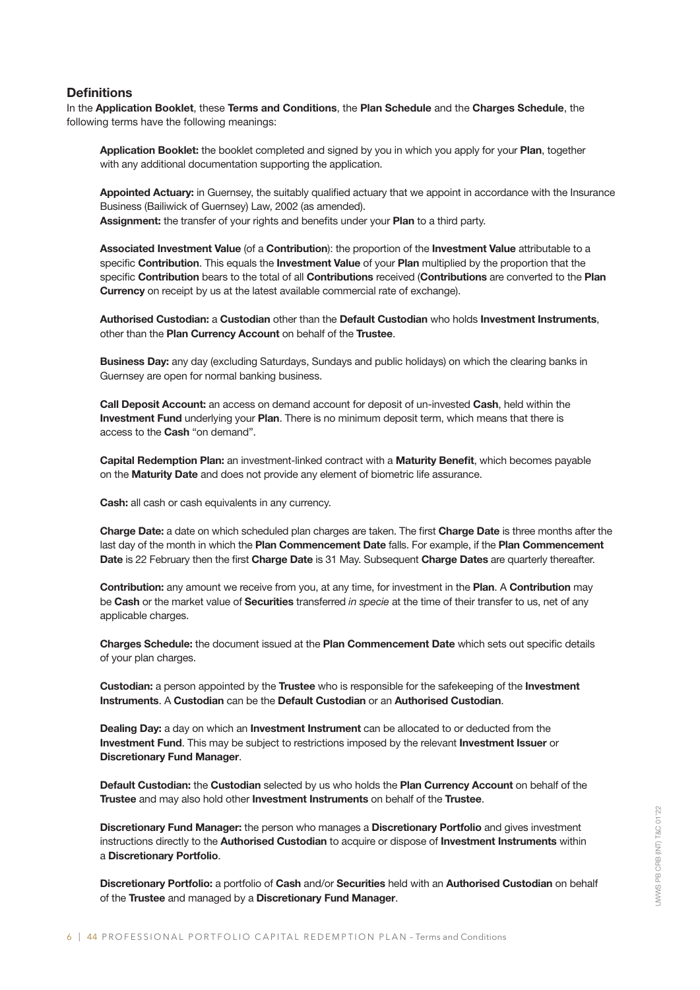## **Definitions**

In the Application Booklet, these Terms and Conditions, the Plan Schedule and the Charges Schedule, the following terms have the following meanings:

Application Booklet: the booklet completed and signed by you in which you apply for your Plan, together with any additional documentation supporting the application.

Appointed Actuary: in Guernsey, the suitably qualified actuary that we appoint in accordance with the Insurance Business (Bailiwick of Guernsey) Law, 2002 (as amended). Assignment: the transfer of your rights and benefits under your Plan to a third party.

Associated Investment Value (of a Contribution): the proportion of the Investment Value attributable to a specific Contribution. This equals the Investment Value of your Plan multiplied by the proportion that the specific Contribution bears to the total of all Contributions received (Contributions are converted to the Plan **Currency** on receipt by us at the latest available commercial rate of exchange).

Authorised Custodian: a Custodian other than the Default Custodian who holds Investment Instruments, other than the Plan Currency Account on behalf of the Trustee.

Business Day: any day (excluding Saturdays, Sundays and public holidays) on which the clearing banks in Guernsey are open for normal banking business.

Call Deposit Account: an access on demand account for deposit of un-invested Cash, held within the Investment Fund underlying your Plan. There is no minimum deposit term, which means that there is access to the **Cash** "on demand".

Capital Redemption Plan: an investment-linked contract with a Maturity Benefit, which becomes payable on the Maturity Date and does not provide any element of biometric life assurance.

Cash: all cash or cash equivalents in any currency.

Charge Date: a date on which scheduled plan charges are taken. The first Charge Date is three months after the last day of the month in which the Plan Commencement Date falls. For example, if the Plan Commencement Date is 22 February then the first Charge Date is 31 May. Subsequent Charge Dates are quarterly thereafter.

Contribution: any amount we receive from you, at any time, for investment in the Plan. A Contribution mav be Cash or the market value of Securities transferred *in specie* at the time of their transfer to us, net of any applicable charges.

Charges Schedule: the document issued at the Plan Commencement Date which sets out specific details of your plan charges.

Custodian: a person appointed by the Trustee who is responsible for the safekeeping of the Investment Instruments. A Custodian can be the Default Custodian or an Authorised Custodian.

Dealing Day: a day on which an Investment Instrument can be allocated to or deducted from the Investment Fund. This may be subject to restrictions imposed by the relevant Investment Issuer or Discretionary Fund Manager.

Default Custodian: the Custodian selected by us who holds the Plan Currency Account on behalf of the Trustee and may also hold other Investment Instruments on behalf of the Trustee.

Discretionary Fund Manager: the person who manages a Discretionary Portfolio and gives investment instructions directly to the Authorised Custodian to acquire or dispose of Investment Instruments within a Discretionary Portfolio.

Discretionary Portfolio: a portfolio of Cash and/or Securities held with an Authorised Custodian on behalf of the Trustee and managed by a Discretionary Fund Manager.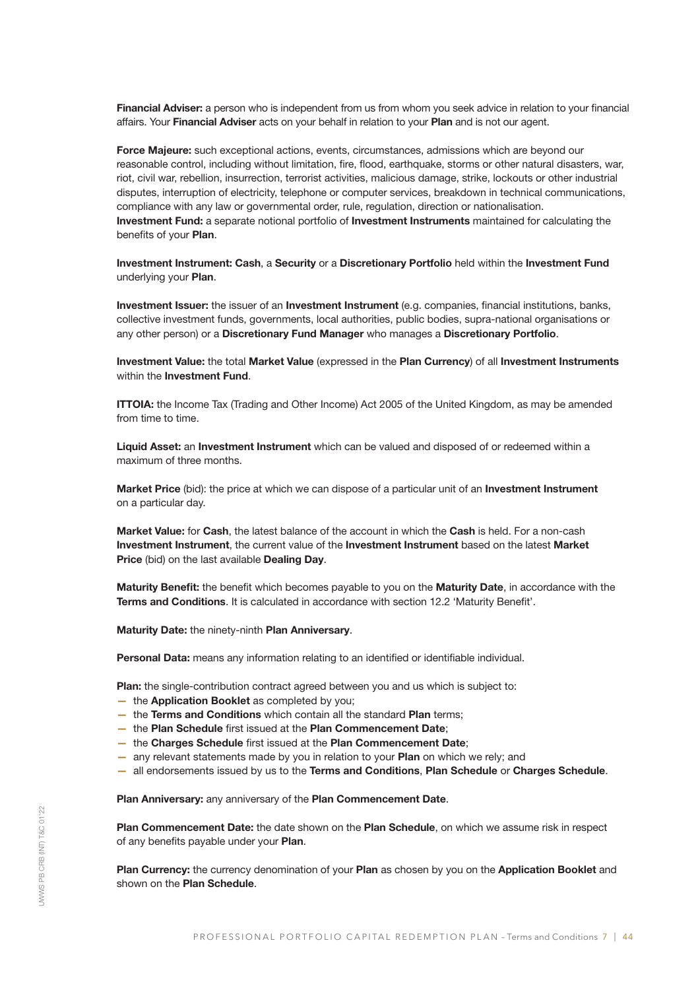Financial Adviser: a person who is independent from us from whom you seek advice in relation to your financial affairs. Your Financial Adviser acts on your behalf in relation to your Plan and is not our agent.

Force Majeure: such exceptional actions, events, circumstances, admissions which are beyond our reasonable control, including without limitation, fire, flood, earthquake, storms or other natural disasters, war, riot, civil war, rebellion, insurrection, terrorist activities, malicious damage, strike, lockouts or other industrial disputes, interruption of electricity, telephone or computer services, breakdown in technical communications, compliance with any law or governmental order, rule, regulation, direction or nationalisation. Investment Fund: a separate notional portfolio of Investment Instruments maintained for calculating the benefits of your Plan.

Investment Instrument: Cash, a Security or a Discretionary Portfolio held within the Investment Fund underlying your Plan.

Investment Issuer: the issuer of an Investment Instrument (e.g. companies, financial institutions, banks, collective investment funds, governments, local authorities, public bodies, supra-national organisations or any other person) or a Discretionary Fund Manager who manages a Discretionary Portfolio.

Investment Value: the total Market Value (expressed in the Plan Currency) of all Investment Instruments within the **Investment Fund.** 

ITTOIA: the Income Tax (Trading and Other Income) Act 2005 of the United Kingdom, as may be amended from time to time.

Liquid Asset: an Investment Instrument which can be valued and disposed of or redeemed within a maximum of three months.

Market Price (bid): the price at which we can dispose of a particular unit of an Investment Instrument on a particular day.

Market Value: for Cash, the latest balance of the account in which the Cash is held. For a non-cash Investment Instrument, the current value of the Investment Instrument based on the latest Market Price (bid) on the last available Dealing Day.

Maturity Benefit: the benefit which becomes payable to you on the Maturity Date, in accordance with the Terms and Conditions. It is calculated in accordance with section 12.2 'Maturity Benefit'.

Maturity Date: the ninety-ninth Plan Anniversary.

Personal Data: means any information relating to an identified or identifiable individual.

Plan: the single-contribution contract agreed between you and us which is subject to:

- the Application Booklet as completed by you;
- the Terms and Conditions which contain all the standard Plan terms;
- the Plan Schedule first issued at the Plan Commencement Date;
- the Charges Schedule first issued at the Plan Commencement Date;
- any relevant statements made by you in relation to your Plan on which we rely; and
- all endorsements issued by us to the Terms and Conditions, Plan Schedule or Charges Schedule.

Plan Anniversary: any anniversary of the Plan Commencement Date.

Plan Commencement Date: the date shown on the Plan Schedule, on which we assume risk in respect of any benefits payable under your Plan.

Plan Currency: the currency denomination of your Plan as chosen by you on the Application Booklet and shown on the **Plan Schedule**.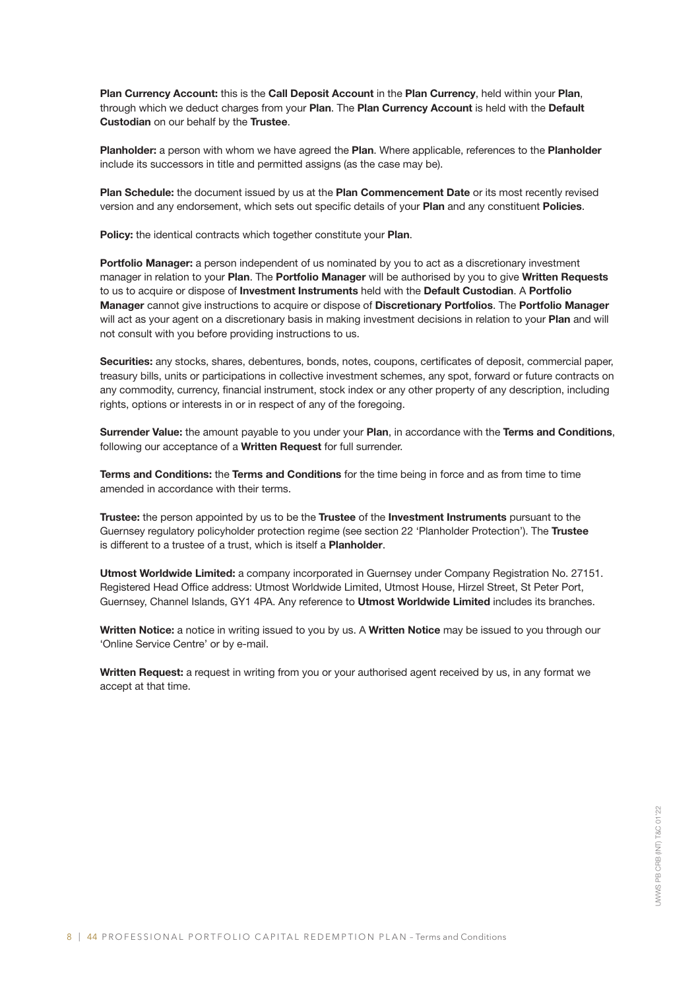Plan Currency Account: this is the Call Deposit Account in the Plan Currency, held within your Plan, through which we deduct charges from your Plan. The Plan Currency Account is held with the Default Custodian on our behalf by the Trustee.

Planholder: a person with whom we have agreed the Plan. Where applicable, references to the Planholder include its successors in title and permitted assigns (as the case may be).

Plan Schedule: the document issued by us at the Plan Commencement Date or its most recently revised version and any endorsement, which sets out specific details of your Plan and any constituent Policies.

Policy: the identical contracts which together constitute your Plan.

Portfolio Manager: a person independent of us nominated by you to act as a discretionary investment manager in relation to your Plan. The Portfolio Manager will be authorised by you to give Written Requests to us to acquire or dispose of Investment Instruments held with the Default Custodian. A Portfolio Manager cannot give instructions to acquire or dispose of Discretionary Portfolios. The Portfolio Manager will act as your agent on a discretionary basis in making investment decisions in relation to your Plan and will not consult with you before providing instructions to us.

Securities: any stocks, shares, debentures, bonds, notes, coupons, certificates of deposit, commercial paper, treasury bills, units or participations in collective investment schemes, any spot, forward or future contracts on any commodity, currency, financial instrument, stock index or any other property of any description, including rights, options or interests in or in respect of any of the foregoing.

Surrender Value: the amount payable to you under your Plan, in accordance with the Terms and Conditions, following our acceptance of a Written Request for full surrender.

Terms and Conditions: the Terms and Conditions for the time being in force and as from time to time amended in accordance with their terms.

Trustee: the person appointed by us to be the Trustee of the Investment Instruments pursuant to the Guernsey regulatory policyholder protection regime (see section 22 'Planholder Protection'). The Trustee is different to a trustee of a trust, which is itself a Planholder.

Utmost Worldwide Limited: a company incorporated in Guernsey under Company Registration No. 27151. Registered Head Office address: Utmost Worldwide Limited, Utmost House, Hirzel Street, St Peter Port, Guernsey, Channel Islands, GY1 4PA. Any reference to Utmost Worldwide Limited includes its branches.

Written Notice: a notice in writing issued to you by us. A Written Notice may be issued to you through our 'Online Service Centre' or by e-mail.

Written Request: a request in writing from you or your authorised agent received by us, in any format we accept at that time.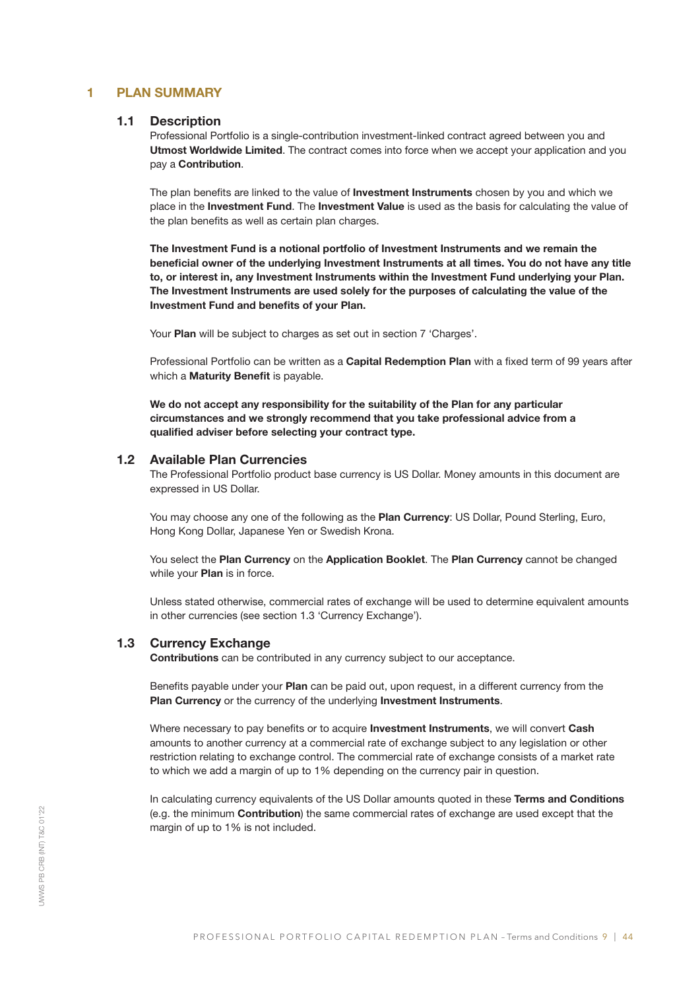## 1 PLAN SUMMARY

## 1.1 Description

Professional Portfolio is a single-contribution investment-linked contract agreed between you and Utmost Worldwide Limited. The contract comes into force when we accept your application and you pay a Contribution.

The plan benefits are linked to the value of **Investment Instruments** chosen by you and which we place in the Investment Fund. The Investment Value is used as the basis for calculating the value of the plan benefits as well as certain plan charges.

The Investment Fund is a notional portfolio of Investment Instruments and we remain the beneficial owner of the underlying Investment Instruments at all times. You do not have any title to, or interest in, any Investment Instruments within the Investment Fund underlying your Plan. The Investment Instruments are used solely for the purposes of calculating the value of the Investment Fund and benefits of your Plan.

Your Plan will be subject to charges as set out in section 7 'Charges'.

Professional Portfolio can be written as a Capital Redemption Plan with a fixed term of 99 years after which a **Maturity Benefit** is payable.

We do not accept any responsibility for the suitability of the Plan for any particular circumstances and we strongly recommend that you take professional advice from a qualified adviser before selecting your contract type.

#### 1.2 Available Plan Currencies

The Professional Portfolio product base currency is US Dollar. Money amounts in this document are expressed in US Dollar.

You may choose any one of the following as the Plan Currency: US Dollar, Pound Sterling, Euro, Hong Kong Dollar, Japanese Yen or Swedish Krona.

You select the Plan Currency on the Application Booklet. The Plan Currency cannot be changed while your **Plan** is in force.

Unless stated otherwise, commercial rates of exchange will be used to determine equivalent amounts in other currencies (see section 1.3 'Currency Exchange').

## 1.3 Currency Exchange

Contributions can be contributed in any currency subject to our acceptance.

Benefits payable under your Plan can be paid out, upon request, in a different currency from the Plan Currency or the currency of the underlying Investment Instruments.

Where necessary to pay benefits or to acquire **Investment Instruments**, we will convert Cash amounts to another currency at a commercial rate of exchange subject to any legislation or other restriction relating to exchange control. The commercial rate of exchange consists of a market rate to which we add a margin of up to 1% depending on the currency pair in question.

In calculating currency equivalents of the US Dollar amounts quoted in these Terms and Conditions (e.g. the minimum Contribution) the same commercial rates of exchange are used except that the margin of up to 1% is not included.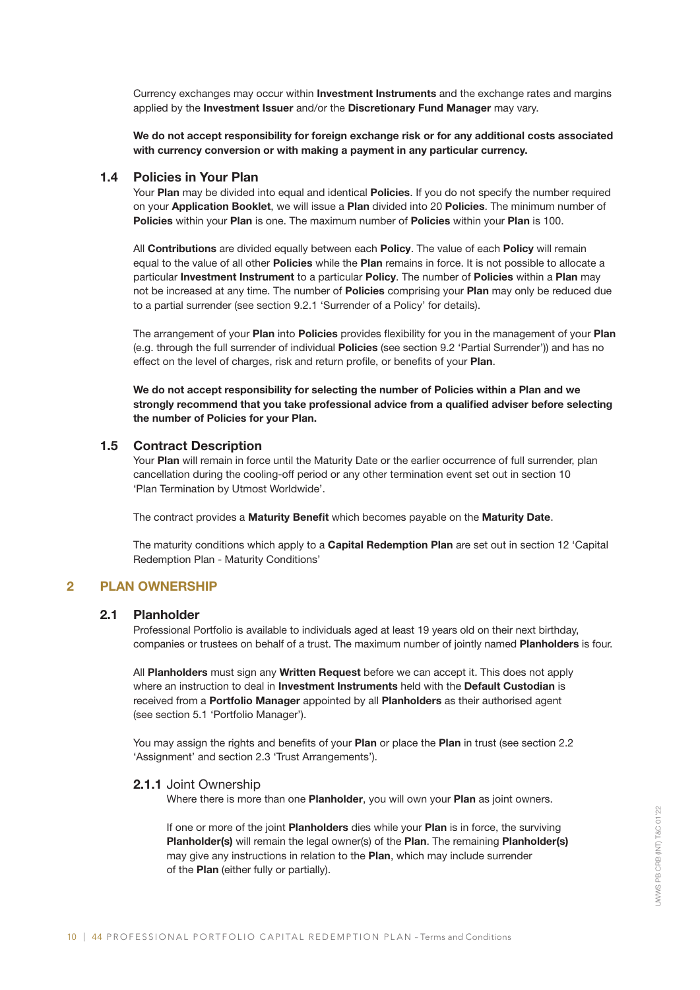Currency exchanges may occur within Investment Instruments and the exchange rates and margins applied by the Investment Issuer and/or the Discretionary Fund Manager may vary.

We do not accept responsibility for foreign exchange risk or for any additional costs associated with currency conversion or with making a payment in any particular currency.

#### 1.4 Policies in Your Plan

Your Plan may be divided into equal and identical Policies. If you do not specify the number required on your Application Booklet, we will issue a Plan divided into 20 Policies. The minimum number of Policies within your Plan is one. The maximum number of Policies within your Plan is 100.

All Contributions are divided equally between each Policy. The value of each Policy will remain equal to the value of all other Policies while the Plan remains in force. It is not possible to allocate a particular Investment Instrument to a particular Policy. The number of Policies within a Plan may not be increased at any time. The number of Policies comprising your Plan may only be reduced due to a partial surrender (see section 9.2.1 'Surrender of a Policy' for details).

The arrangement of your Plan into Policies provides flexibility for you in the management of your Plan (e.g. through the full surrender of individual Policies (see section 9.2 'Partial Surrender')) and has no effect on the level of charges, risk and return profile, or benefits of your Plan.

We do not accept responsibility for selecting the number of Policies within a Plan and we strongly recommend that you take professional advice from a qualified adviser before selecting the number of Policies for your Plan.

## 1.5 Contract Description

Your Plan will remain in force until the Maturity Date or the earlier occurrence of full surrender, plan cancellation during the cooling-off period or any other termination event set out in section 10 'Plan Termination by Utmost Worldwide'.

The contract provides a Maturity Benefit which becomes payable on the Maturity Date.

The maturity conditions which apply to a **Capital Redemption Plan** are set out in section 12 'Capital Redemption Plan - Maturity Conditions'

## 2 PLAN OWNERSHIP

#### 2.1 Planholder

Professional Portfolio is available to individuals aged at least 19 years old on their next birthday, companies or trustees on behalf of a trust. The maximum number of jointly named Planholders is four.

All Planholders must sign any Written Request before we can accept it. This does not apply where an instruction to deal in Investment Instruments held with the Default Custodian is received from a Portfolio Manager appointed by all Planholders as their authorised agent (see section 5.1 'Portfolio Manager').

You may assign the rights and benefits of your Plan or place the Plan in trust (see section 2.2 'Assignment' and section 2.3 'Trust Arrangements').

#### 2.1.1 Joint Ownership

Where there is more than one Planholder, you will own your Plan as joint owners.

If one or more of the joint Planholders dies while your Plan is in force, the surviving Planholder(s) will remain the legal owner(s) of the Plan. The remaining Planholder(s) may give any instructions in relation to the Plan, which may include surrender of the Plan (either fully or partially).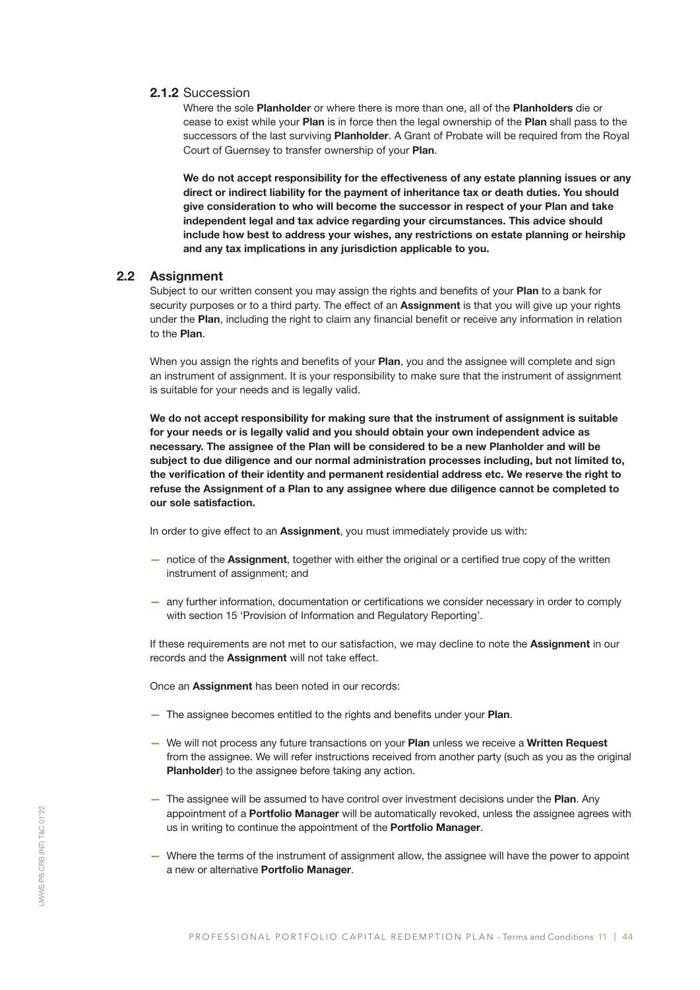## 2.1.2 Succession

Where the sole Planholder or where there is more than one, all of the Planholders die or cease to exist while your Plan is in force then the legal ownership of the Plan shall pass to the successors of the last surviving Planholder. A Grant of Probate will be required from the Royal Court of Guernsey to transfer ownership of your Plan.

We do not accept responsibility for the effectiveness of any estate planning issues or any direct or indirect liability for the payment of inheritance tax or death duties. You should give consideration to who will become the successor in respect of your Plan and take independent legal and tax advice regarding your circumstances. This advice should include how best to address your wishes, any restrictions on estate planning or heirship and any tax implications in any jurisdiction applicable to you.

## 2.2 Assignment

Subject to our written consent you may assign the rights and benefits of your Plan to a bank for security purposes or to a third party. The effect of an **Assignment** is that you will give up your rights under the Plan, including the right to claim any financial benefit or receive any information in relation to the Plan.

When you assign the rights and benefits of your Plan, you and the assignee will complete and sign an instrument of assignment. It is your responsibility to make sure that the instrument of assignment is suitable for your needs and is legally valid.

We do not accept responsibility for making sure that the instrument of assignment is suitable for your needs or is legally valid and you should obtain your own independent advice as necessary. The assignee of the Plan will be considered to be a new Planholder and will be subject to due diligence and our normal administration processes including, but not limited to, the verification of their identity and permanent residential address etc. We reserve the right to refuse the Assignment of a Plan to any assignee where due diligence cannot be completed to our sole satisfaction.

In order to give effect to an Assignment, you must immediately provide us with:

- notice of the Assignment, together with either the original or a certified true copy of the written instrument of assignment; and
- any further information, documentation or certifications we consider necessary in order to comply with section 15 'Provision of Information and Regulatory Reporting'.

If these requirements are not met to our satisfaction, we may decline to note the Assignment in our records and the Assignment will not take effect.

Once an Assignment has been noted in our records:

- The assignee becomes entitled to the rights and benefits under your Plan.
- We will not process any future transactions on your Plan unless we receive a Written Request from the assignee. We will refer instructions received from another party (such as you as the original Planholder) to the assignee before taking any action.
- The assignee will be assumed to have control over investment decisions under the Plan. Any appointment of a Portfolio Manager will be automatically revoked, unless the assignee agrees with us in writing to continue the appointment of the Portfolio Manager.
- Where the terms of the instrument of assignment allow, the assignee will have the power to appoint a new or alternative Portfolio Manager.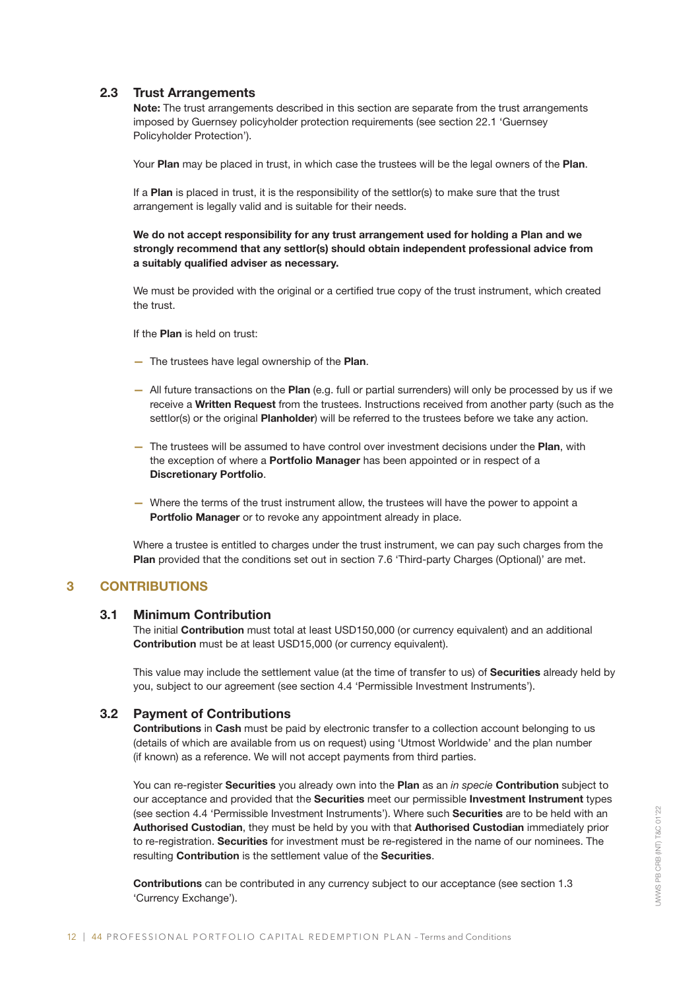## 2.3 Trust Arrangements

Note: The trust arrangements described in this section are separate from the trust arrangements imposed by Guernsey policyholder protection requirements (see section 22.1 'Guernsey Policyholder Protection').

Your Plan may be placed in trust, in which case the trustees will be the legal owners of the Plan.

If a Plan is placed in trust, it is the responsibility of the settlor(s) to make sure that the trust arrangement is legally valid and is suitable for their needs.

We do not accept responsibility for any trust arrangement used for holding a Plan and we strongly recommend that any settlor(s) should obtain independent professional advice from a suitably qualified adviser as necessary.

We must be provided with the original or a certified true copy of the trust instrument, which created the trust.

If the **Plan** is held on trust:

- The trustees have legal ownership of the Plan.
- All future transactions on the Plan (e.g. full or partial surrenders) will only be processed by us if we receive a Written Request from the trustees. Instructions received from another party (such as the settlor(s) or the original Planholder) will be referred to the trustees before we take any action.
- The trustees will be assumed to have control over investment decisions under the Plan, with the exception of where a **Portfolio Manager** has been appointed or in respect of a Discretionary Portfolio.
- Where the terms of the trust instrument allow, the trustees will have the power to appoint a Portfolio Manager or to revoke any appointment already in place.

Where a trustee is entitled to charges under the trust instrument, we can pay such charges from the Plan provided that the conditions set out in section 7.6 'Third-party Charges (Optional)' are met.

## 3 CONTRIBUTIONS

#### 3.1 Minimum Contribution

The initial Contribution must total at least USD150,000 (or currency equivalent) and an additional Contribution must be at least USD15,000 (or currency equivalent).

This value may include the settlement value (at the time of transfer to us) of Securities already held by you, subject to our agreement (see section 4.4 'Permissible Investment Instruments').

## 3.2 Payment of Contributions

Contributions in Cash must be paid by electronic transfer to a collection account belonging to us (details of which are available from us on request) using 'Utmost Worldwide' and the plan number (if known) as a reference. We will not accept payments from third parties.

You can re-register Securities you already own into the Plan as an *in specie* Contribution subject to our acceptance and provided that the Securities meet our permissible Investment Instrument types (see section 4.4 'Permissible Investment Instruments'). Where such Securities are to be held with an Authorised Custodian, they must be held by you with that Authorised Custodian immediately prior to re-registration. Securities for investment must be re-registered in the name of our nominees. The resulting Contribution is the settlement value of the Securities.

Contributions can be contributed in any currency subject to our acceptance (see section 1.3 'Currency Exchange').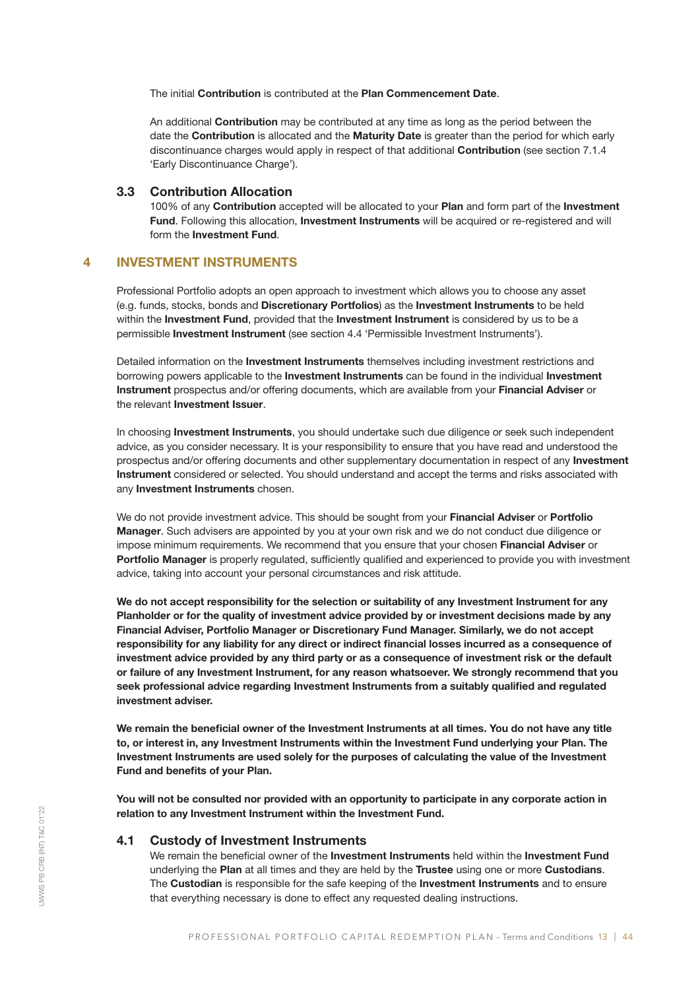The initial Contribution is contributed at the Plan Commencement Date.

An additional **Contribution** may be contributed at any time as long as the period between the date the Contribution is allocated and the Maturity Date is greater than the period for which early discontinuance charges would apply in respect of that additional Contribution (see section 7.1.4 'Early Discontinuance Charge').

## 3.3 Contribution Allocation

100% of any Contribution accepted will be allocated to your Plan and form part of the Investment Fund. Following this allocation, Investment Instruments will be acquired or re-registered and will form the Investment Fund.

## 4 INVESTMENT INSTRUMENTS

Professional Portfolio adopts an open approach to investment which allows you to choose any asset (e.g. funds, stocks, bonds and Discretionary Portfolios) as the Investment Instruments to be held within the Investment Fund, provided that the Investment Instrument is considered by us to be a permissible Investment Instrument (see section 4.4 'Permissible Investment Instruments').

Detailed information on the **Investment Instruments** themselves including investment restrictions and borrowing powers applicable to the **Investment Instruments** can be found in the individual **Investment** Instrument prospectus and/or offering documents, which are available from your Financial Adviser or the relevant Investment Issuer.

In choosing Investment Instruments, you should undertake such due diligence or seek such independent advice, as you consider necessary. It is your responsibility to ensure that you have read and understood the prospectus and/or offering documents and other supplementary documentation in respect of any Investment Instrument considered or selected. You should understand and accept the terms and risks associated with any **Investment Instruments** chosen.

We do not provide investment advice. This should be sought from your Financial Adviser or Portfolio Manager. Such advisers are appointed by you at your own risk and we do not conduct due diligence or impose minimum requirements. We recommend that you ensure that your chosen Financial Adviser or Portfolio Manager is properly regulated, sufficiently qualified and experienced to provide you with investment advice, taking into account your personal circumstances and risk attitude.

We do not accept responsibility for the selection or suitability of any Investment Instrument for any Planholder or for the quality of investment advice provided by or investment decisions made by any Financial Adviser, Portfolio Manager or Discretionary Fund Manager. Similarly, we do not accept responsibility for any liability for any direct or indirect financial losses incurred as a consequence of investment advice provided by any third party or as a consequence of investment risk or the default or failure of any Investment Instrument, for any reason whatsoever. We strongly recommend that you seek professional advice regarding Investment Instruments from a suitably qualified and regulated investment adviser.

We remain the beneficial owner of the Investment Instruments at all times. You do not have any title to, or interest in, any Investment Instruments within the Investment Fund underlying your Plan. The Investment Instruments are used solely for the purposes of calculating the value of the Investment Fund and benefits of your Plan.

You will not be consulted nor provided with an opportunity to participate in any corporate action in relation to any Investment Instrument within the Investment Fund.

#### 4.1 Custody of Investment Instruments

We remain the beneficial owner of the Investment Instruments held within the Investment Fund underlying the Plan at all times and they are held by the Trustee using one or more Custodians. The Custodian is responsible for the safe keeping of the Investment Instruments and to ensure that everything necessary is done to effect any requested dealing instructions.

UWWS PB CRB (INT) T&C 01'22

JWWS PB CRB (INT) T&C 01'22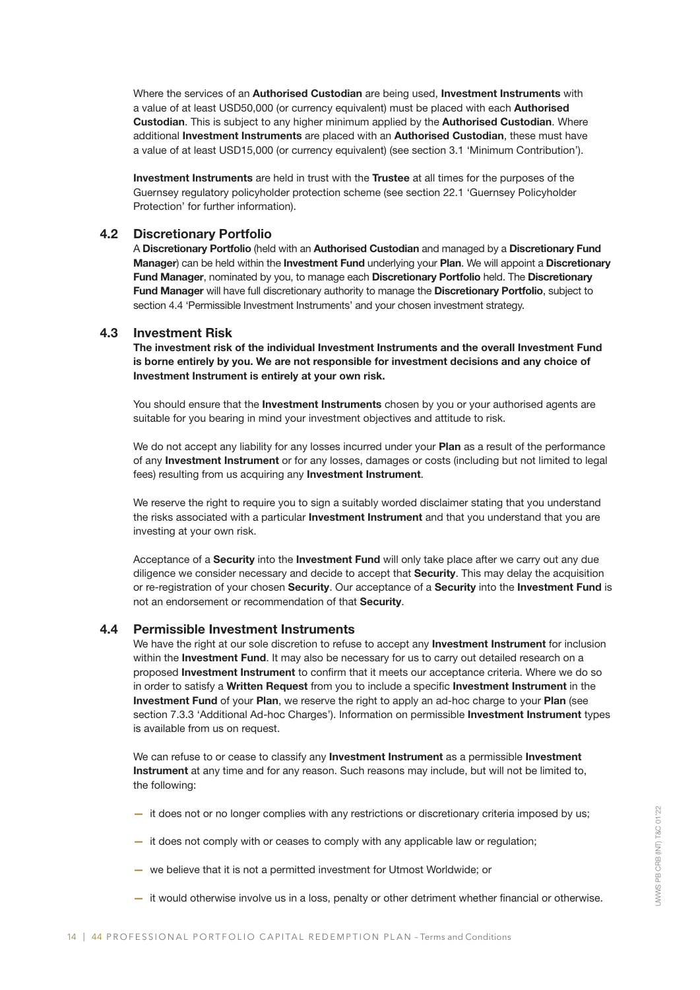Where the services of an Authorised Custodian are being used, Investment Instruments with a value of at least USD50,000 (or currency equivalent) must be placed with each Authorised Custodian. This is subject to any higher minimum applied by the Authorised Custodian. Where additional Investment Instruments are placed with an Authorised Custodian, these must have a value of at least USD15,000 (or currency equivalent) (see section 3.1 'Minimum Contribution').

Investment Instruments are held in trust with the Trustee at all times for the purposes of the Guernsey regulatory policyholder protection scheme (see section 22.1 'Guernsey Policyholder Protection' for further information).

## 4.2 Discretionary Portfolio

A Discretionary Portfolio (held with an Authorised Custodian and managed by a Discretionary Fund Manager) can be held within the Investment Fund underlying your Plan. We will appoint a Discretionary Fund Manager, nominated by you, to manage each Discretionary Portfolio held. The Discretionary Fund Manager will have full discretionary authority to manage the Discretionary Portfolio, subject to section 4.4 'Permissible Investment Instruments' and your chosen investment strategy.

#### 4.3 Investment Risk

The investment risk of the individual Investment Instruments and the overall Investment Fund is borne entirely by you. We are not responsible for investment decisions and any choice of Investment Instrument is entirely at your own risk.

You should ensure that the Investment Instruments chosen by you or your authorised agents are suitable for you bearing in mind your investment objectives and attitude to risk.

We do not accept any liability for any losses incurred under your Plan as a result of the performance of any Investment Instrument or for any losses, damages or costs (including but not limited to legal fees) resulting from us acquiring any Investment Instrument.

We reserve the right to require you to sign a suitably worded disclaimer stating that you understand the risks associated with a particular Investment Instrument and that you understand that you are investing at your own risk.

Acceptance of a Security into the Investment Fund will only take place after we carry out any due diligence we consider necessary and decide to accept that Security. This may delay the acquisition or re-registration of your chosen Security. Our acceptance of a Security into the Investment Fund is not an endorsement or recommendation of that Security.

## 4.4 Permissible Investment Instruments

We have the right at our sole discretion to refuse to accept any **Investment Instrument** for inclusion within the Investment Fund. It may also be necessary for us to carry out detailed research on a proposed Investment Instrument to confirm that it meets our acceptance criteria. Where we do so in order to satisfy a Written Request from you to include a specific Investment Instrument in the Investment Fund of your Plan, we reserve the right to apply an ad-hoc charge to your Plan (see section 7.3.3 'Additional Ad-hoc Charges'). Information on permissible Investment Instrument types is available from us on request.

We can refuse to or cease to classify any Investment Instrument as a permissible Investment Instrument at any time and for any reason. Such reasons may include, but will not be limited to, the following:

- it does not or no longer complies with any restrictions or discretionary criteria imposed by us;
- it does not comply with or ceases to comply with any applicable law or regulation;
- we believe that it is not a permitted investment for Utmost Worldwide; or
- it would otherwise involve us in a loss, penalty or other detriment whether financial or otherwise.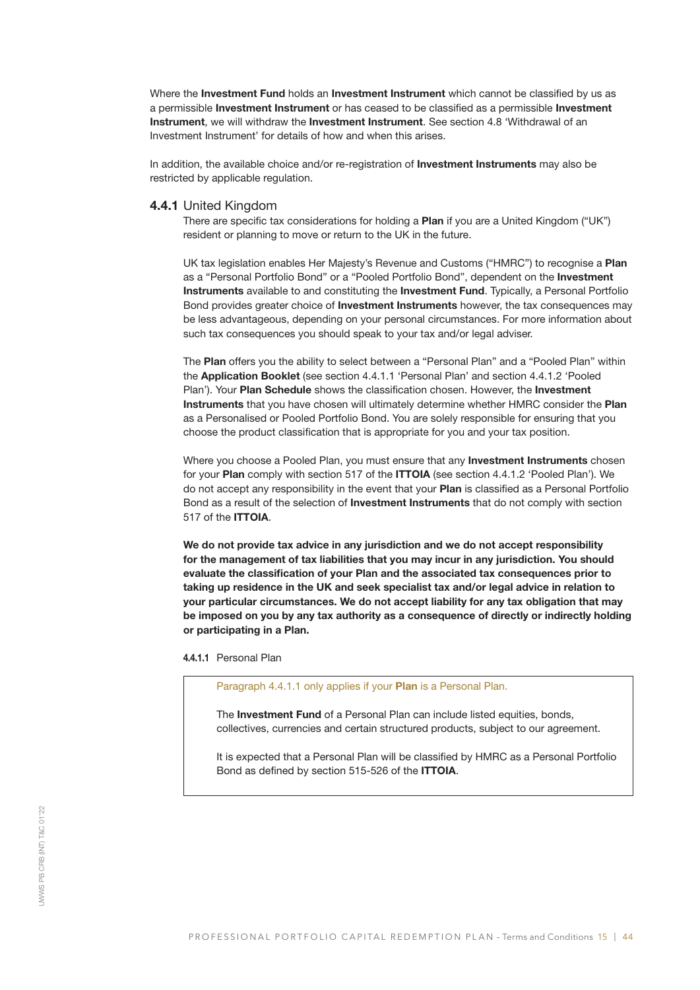Where the Investment Fund holds an Investment Instrument which cannot be classified by us as a permissible Investment Instrument or has ceased to be classified as a permissible Investment Instrument, we will withdraw the Investment Instrument. See section 4.8 'Withdrawal of an Investment Instrument' for details of how and when this arises.

In addition, the available choice and/or re-registration of Investment Instruments may also be restricted by applicable regulation.

#### 4.4.1 United Kingdom

There are specific tax considerations for holding a **Plan** if you are a United Kingdom ("UK") resident or planning to move or return to the UK in the future.

UK tax legislation enables Her Majesty's Revenue and Customs ("HMRC") to recognise a Plan as a "Personal Portfolio Bond" or a "Pooled Portfolio Bond", dependent on the Investment Instruments available to and constituting the Investment Fund. Typically, a Personal Portfolio Bond provides greater choice of **Investment Instruments** however, the tax consequences may be less advantageous, depending on your personal circumstances. For more information about such tax consequences you should speak to your tax and/or legal adviser.

The Plan offers you the ability to select between a "Personal Plan" and a "Pooled Plan" within the Application Booklet (see section 4.4.1.1 'Personal Plan' and section 4.4.1.2 'Pooled Plan'). Your Plan Schedule shows the classification chosen. However, the Investment Instruments that you have chosen will ultimately determine whether HMRC consider the Plan as a Personalised or Pooled Portfolio Bond. You are solely responsible for ensuring that you choose the product classification that is appropriate for you and your tax position.

Where you choose a Pooled Plan, you must ensure that any **Investment Instruments** chosen for your Plan comply with section 517 of the ITTOIA (see section 4.4.1.2 'Pooled Plan'). We do not accept any responsibility in the event that your Plan is classified as a Personal Portfolio Bond as a result of the selection of **Investment Instruments** that do not comply with section 517 of the ITTOIA.

We do not provide tax advice in any jurisdiction and we do not accept responsibility for the management of tax liabilities that you may incur in any jurisdiction. You should evaluate the classification of your Plan and the associated tax consequences prior to taking up residence in the UK and seek specialist tax and/or legal advice in relation to your particular circumstances. We do not accept liability for any tax obligation that may be imposed on you by any tax authority as a consequence of directly or indirectly holding or participating in a Plan.

4.4.1.1 Personal Plan

Paragraph 4.4.1.1 only applies if your Plan is a Personal Plan.

The **Investment Fund** of a Personal Plan can include listed equities, bonds, collectives, currencies and certain structured products, subject to our agreement.

It is expected that a Personal Plan will be classified by HMRC as a Personal Portfolio Bond as defined by section 515-526 of the ITTOIA.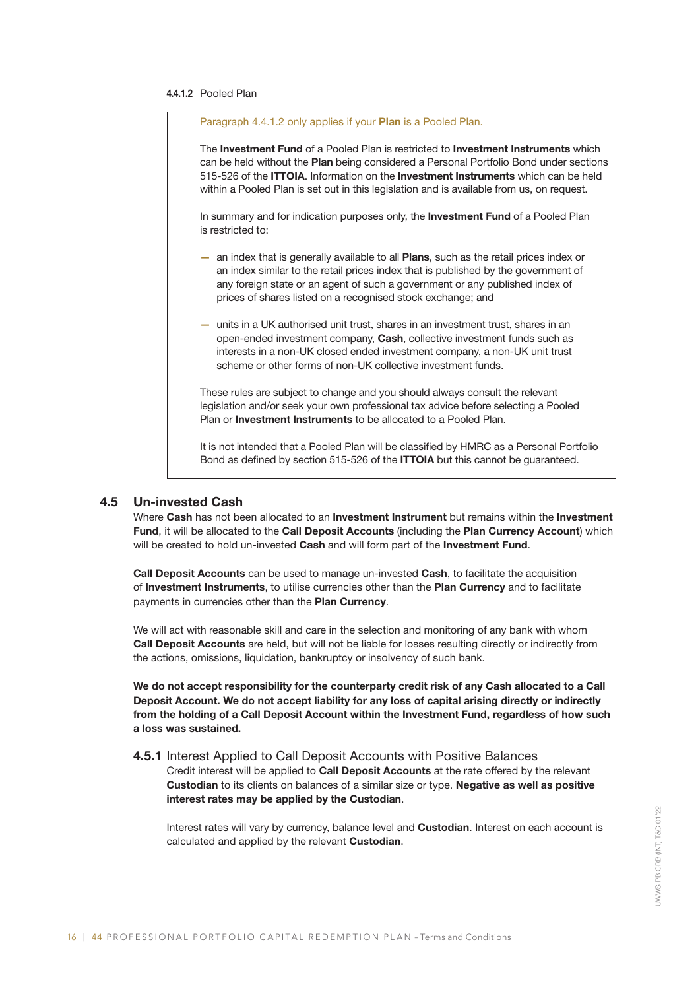#### 4.4.1.2 Pooled Plan

| Paragraph 4.4.1.2 only applies if your <b>Plan</b> is a Pooled Plan.                                                                                                                                                                                                                                                                                                                         |
|----------------------------------------------------------------------------------------------------------------------------------------------------------------------------------------------------------------------------------------------------------------------------------------------------------------------------------------------------------------------------------------------|
| The <b>Investment Fund</b> of a Pooled Plan is restricted to <b>Investment Instruments</b> which<br>can be held without the Plan being considered a Personal Portfolio Bond under sections<br>515-526 of the <b>ITTOIA</b> . Information on the <b>Investment Instruments</b> which can be held<br>within a Pooled Plan is set out in this legislation and is available from us, on request. |
| In summary and for indication purposes only, the <b>Investment Fund</b> of a Pooled Plan<br>is restricted to:                                                                                                                                                                                                                                                                                |
| an index that is generally available to all <b>Plans</b> , such as the retail prices index or<br>÷<br>an index similar to the retail prices index that is published by the government of<br>any foreign state or an agent of such a government or any published index of<br>prices of shares listed on a recognised stock exchange; and                                                      |
| units in a UK authorised unit trust, shares in an investment trust, shares in an<br>$\sim$<br>open-ended investment company, Cash, collective investment funds such as<br>interests in a non-UK closed ended investment company, a non-UK unit trust<br>scheme or other forms of non-UK collective investment funds.                                                                         |
| These rules are subject to change and you should always consult the relevant<br>legislation and/or seek your own professional tax advice before selecting a Pooled<br>Plan or <b>Investment Instruments</b> to be allocated to a Pooled Plan.                                                                                                                                                |
| It is not intended that a Pooled Plan will be classified by HMRC as a Personal Portfolio                                                                                                                                                                                                                                                                                                     |

4.5 Un-invested Cash

Where Cash has not been allocated to an Investment Instrument but remains within the Investment Fund, it will be allocated to the Call Deposit Accounts (including the Plan Currency Account) which will be created to hold un-invested Cash and will form part of the Investment Fund.

Bond as defined by section 515-526 of the ITTOIA but this cannot be guaranteed.

Call Deposit Accounts can be used to manage un-invested Cash, to facilitate the acquisition of Investment Instruments, to utilise currencies other than the Plan Currency and to facilitate payments in currencies other than the Plan Currency.

We will act with reasonable skill and care in the selection and monitoring of any bank with whom Call Deposit Accounts are held, but will not be liable for losses resulting directly or indirectly from the actions, omissions, liquidation, bankruptcy or insolvency of such bank.

We do not accept responsibility for the counterparty credit risk of any Cash allocated to a Call Deposit Account. We do not accept liability for any loss of capital arising directly or indirectly from the holding of a Call Deposit Account within the Investment Fund, regardless of how such a loss was sustained.

#### 4.5.1 Interest Applied to Call Deposit Accounts with Positive Balances

Credit interest will be applied to Call Deposit Accounts at the rate offered by the relevant Custodian to its clients on balances of a similar size or type. Negative as well as positive interest rates may be applied by the Custodian.

Interest rates will vary by currency, balance level and Custodian. Interest on each account is calculated and applied by the relevant Custodian.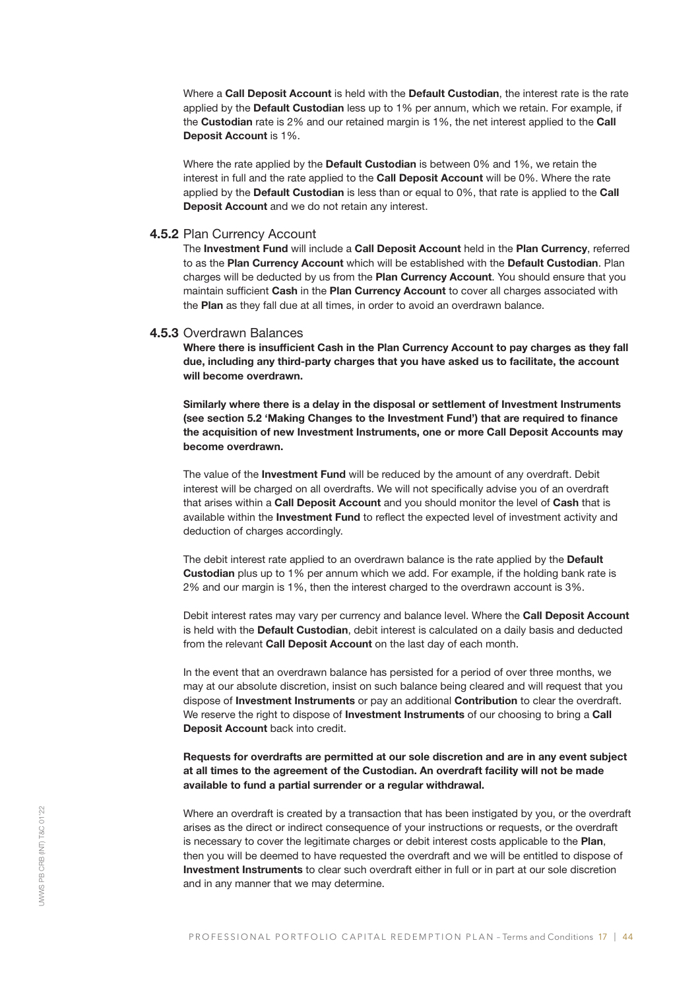Where a Call Deposit Account is held with the Default Custodian, the interest rate is the rate applied by the Default Custodian less up to 1% per annum, which we retain. For example, if the Custodian rate is 2% and our retained margin is 1%, the net interest applied to the Call Deposit Account is 1%.

Where the rate applied by the **Default Custodian** is between 0% and 1%, we retain the interest in full and the rate applied to the Call Deposit Account will be 0%. Where the rate applied by the Default Custodian is less than or equal to 0%, that rate is applied to the Call Deposit Account and we do not retain any interest.

## 4.5.2 Plan Currency Account

The Investment Fund will include a Call Deposit Account held in the Plan Currency, referred to as the Plan Currency Account which will be established with the Default Custodian. Plan charges will be deducted by us from the Plan Currency Account. You should ensure that you maintain sufficient Cash in the Plan Currency Account to cover all charges associated with the Plan as they fall due at all times, in order to avoid an overdrawn balance.

#### 4.5.3 Overdrawn Balances

Where there is insufficient Cash in the Plan Currency Account to pay charges as they fall due, including any third-party charges that you have asked us to facilitate, the account will become overdrawn.

Similarly where there is a delay in the disposal or settlement of Investment Instruments (see section 5.2 'Making Changes to the Investment Fund') that are required to finance the acquisition of new Investment Instruments, one or more Call Deposit Accounts may become overdrawn.

The value of the **Investment Fund** will be reduced by the amount of any overdraft. Debit interest will be charged on all overdrafts. We will not specifically advise you of an overdraft that arises within a Call Deposit Account and you should monitor the level of Cash that is available within the Investment Fund to reflect the expected level of investment activity and deduction of charges accordingly.

The debit interest rate applied to an overdrawn balance is the rate applied by the Default Custodian plus up to 1% per annum which we add. For example, if the holding bank rate is 2% and our margin is 1%, then the interest charged to the overdrawn account is 3%.

Debit interest rates may vary per currency and balance level. Where the **Call Deposit Account** is held with the Default Custodian, debit interest is calculated on a daily basis and deducted from the relevant Call Deposit Account on the last day of each month.

In the event that an overdrawn balance has persisted for a period of over three months, we may at our absolute discretion, insist on such balance being cleared and will request that you dispose of Investment Instruments or pay an additional Contribution to clear the overdraft. We reserve the right to dispose of **Investment Instruments** of our choosing to bring a Call Deposit Account back into credit.

Requests for overdrafts are permitted at our sole discretion and are in any event subject at all times to the agreement of the Custodian. An overdraft facility will not be made available to fund a partial surrender or a regular withdrawal.

Where an overdraft is created by a transaction that has been instigated by you, or the overdraft arises as the direct or indirect consequence of your instructions or requests, or the overdraft is necessary to cover the legitimate charges or debit interest costs applicable to the Plan, then you will be deemed to have requested the overdraft and we will be entitled to dispose of Investment Instruments to clear such overdraft either in full or in part at our sole discretion and in any manner that we may determine.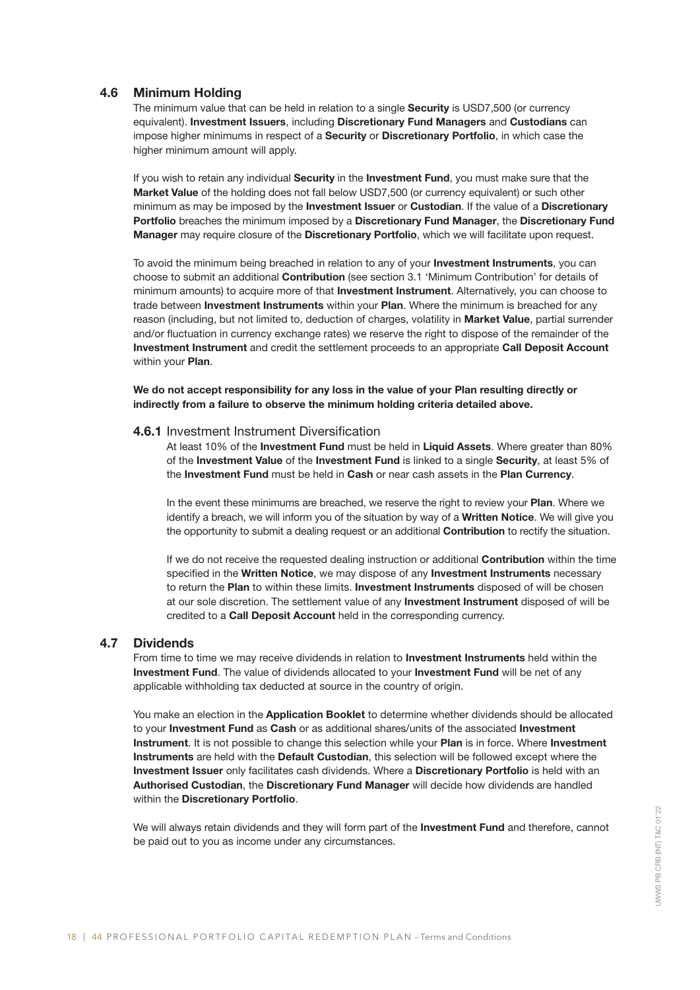## 4.6 Minimum Holding

The minimum value that can be held in relation to a single Security is USD7,500 (or currency equivalent). Investment Issuers, including Discretionary Fund Managers and Custodians can impose higher minimums in respect of a Security or Discretionary Portfolio, in which case the higher minimum amount will apply.

If you wish to retain any individual Security in the Investment Fund, you must make sure that the Market Value of the holding does not fall below USD7,500 (or currency equivalent) or such other minimum as may be imposed by the **Investment Issuer** or **Custodian**. If the value of a **Discretionary** Portfolio breaches the minimum imposed by a Discretionary Fund Manager, the Discretionary Fund Manager may require closure of the Discretionary Portfolio, which we will facilitate upon request.

To avoid the minimum being breached in relation to any of your Investment Instruments, you can choose to submit an additional Contribution (see section 3.1 'Minimum Contribution' for details of minimum amounts) to acquire more of that Investment Instrument. Alternatively, you can choose to trade between Investment Instruments within your Plan. Where the minimum is breached for any reason (including, but not limited to, deduction of charges, volatility in Market Value, partial surrender and/or fluctuation in currency exchange rates) we reserve the right to dispose of the remainder of the Investment Instrument and credit the settlement proceeds to an appropriate Call Deposit Account within your **Plan.** 

We do not accept responsibility for any loss in the value of your Plan resulting directly or indirectly from a failure to observe the minimum holding criteria detailed above.

#### 4.6.1 Investment Instrument Diversification

At least 10% of the Investment Fund must be held in Liquid Assets. Where greater than 80% of the Investment Value of the Investment Fund is linked to a single Security, at least 5% of the Investment Fund must be held in Cash or near cash assets in the Plan Currency.

In the event these minimums are breached, we reserve the right to review your Plan. Where we identify a breach, we will inform you of the situation by way of a Written Notice. We will give you the opportunity to submit a dealing request or an additional **Contribution** to rectify the situation.

If we do not receive the requested dealing instruction or additional **Contribution** within the time specified in the Written Notice, we may dispose of any Investment Instruments necessary to return the Plan to within these limits. Investment Instruments disposed of will be chosen at our sole discretion. The settlement value of any Investment Instrument disposed of will be credited to a Call Deposit Account held in the corresponding currency.

#### 4.7 Dividends

From time to time we may receive dividends in relation to Investment Instruments held within the Investment Fund. The value of dividends allocated to your Investment Fund will be net of any applicable withholding tax deducted at source in the country of origin.

You make an election in the **Application Booklet** to determine whether dividends should be allocated to your Investment Fund as Cash or as additional shares/units of the associated Investment Instrument. It is not possible to change this selection while your Plan is in force. Where Investment Instruments are held with the Default Custodian, this selection will be followed except where the Investment Issuer only facilitates cash dividends. Where a Discretionary Portfolio is held with an Authorised Custodian, the Discretionary Fund Manager will decide how dividends are handled within the **Discretionary Portfolio**.

We will always retain dividends and they will form part of the Investment Fund and therefore, cannot be paid out to you as income under any circumstances.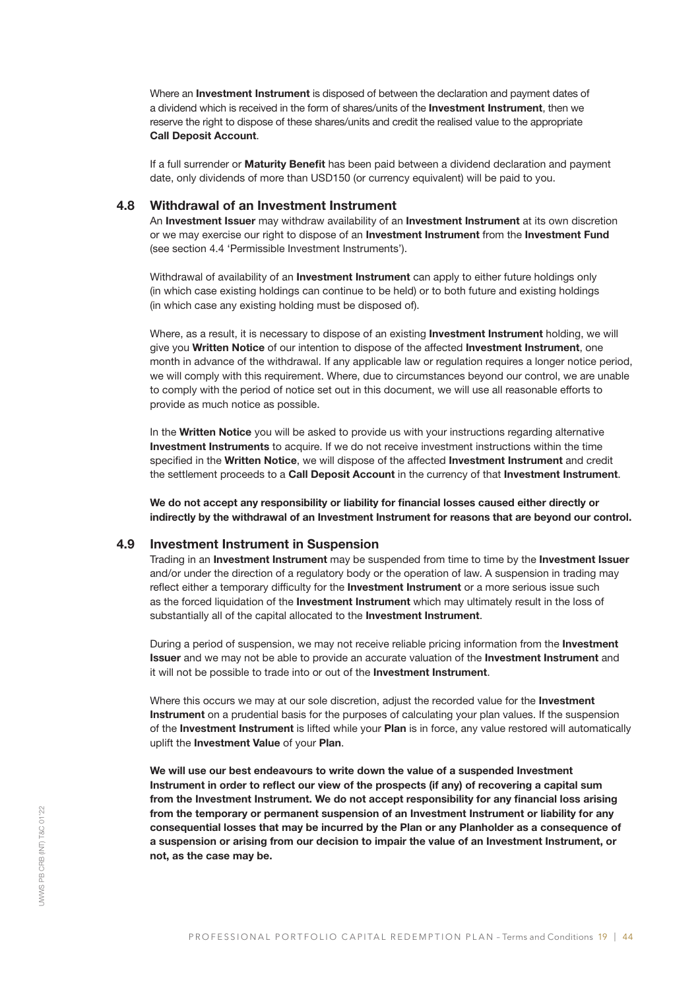Where an Investment Instrument is disposed of between the declaration and payment dates of a dividend which is received in the form of shares/units of the **Investment Instrument**, then we reserve the right to dispose of these shares/units and credit the realised value to the appropriate Call Deposit Account.

If a full surrender or Maturity Benefit has been paid between a dividend declaration and payment date, only dividends of more than USD150 (or currency equivalent) will be paid to you.

## 4.8 Withdrawal of an Investment Instrument

An Investment Issuer may withdraw availability of an Investment Instrument at its own discretion or we may exercise our right to dispose of an **Investment Instrument** from the **Investment Fund** (see section 4.4 'Permissible Investment Instruments').

Withdrawal of availability of an **Investment Instrument** can apply to either future holdings only (in which case existing holdings can continue to be held) or to both future and existing holdings (in which case any existing holding must be disposed of).

Where, as a result, it is necessary to dispose of an existing **Investment Instrument** holding, we will give you Written Notice of our intention to dispose of the affected Investment Instrument, one month in advance of the withdrawal. If any applicable law or regulation requires a longer notice period, we will comply with this requirement. Where, due to circumstances beyond our control, we are unable to comply with the period of notice set out in this document, we will use all reasonable efforts to provide as much notice as possible.

In the Written Notice you will be asked to provide us with your instructions regarding alternative Investment Instruments to acquire. If we do not receive investment instructions within the time specified in the Written Notice, we will dispose of the affected Investment Instrument and credit the settlement proceeds to a Call Deposit Account in the currency of that Investment Instrument.

We do not accept any responsibility or liability for financial losses caused either directly or indirectly by the withdrawal of an Investment Instrument for reasons that are beyond our control.

## 4.9 Investment Instrument in Suspension

Trading in an Investment Instrument may be suspended from time to time by the Investment Issuer and/or under the direction of a regulatory body or the operation of law. A suspension in trading may reflect either a temporary difficulty for the **Investment Instrument** or a more serious issue such as the forced liquidation of the **Investment Instrument** which may ultimately result in the loss of substantially all of the capital allocated to the **Investment Instrument**.

During a period of suspension, we may not receive reliable pricing information from the **Investment** Issuer and we may not be able to provide an accurate valuation of the Investment Instrument and it will not be possible to trade into or out of the Investment Instrument.

Where this occurs we may at our sole discretion, adjust the recorded value for the Investment Instrument on a prudential basis for the purposes of calculating your plan values. If the suspension of the Investment Instrument is lifted while your Plan is in force, any value restored will automatically uplift the Investment Value of your Plan.

We will use our best endeavours to write down the value of a suspended Investment Instrument in order to reflect our view of the prospects (if any) of recovering a capital sum from the Investment Instrument. We do not accept responsibility for any financial loss arising from the temporary or permanent suspension of an Investment Instrument or liability for any consequential losses that may be incurred by the Plan or any Planholder as a consequence of a suspension or arising from our decision to impair the value of an Investment Instrument, or not, as the case may be.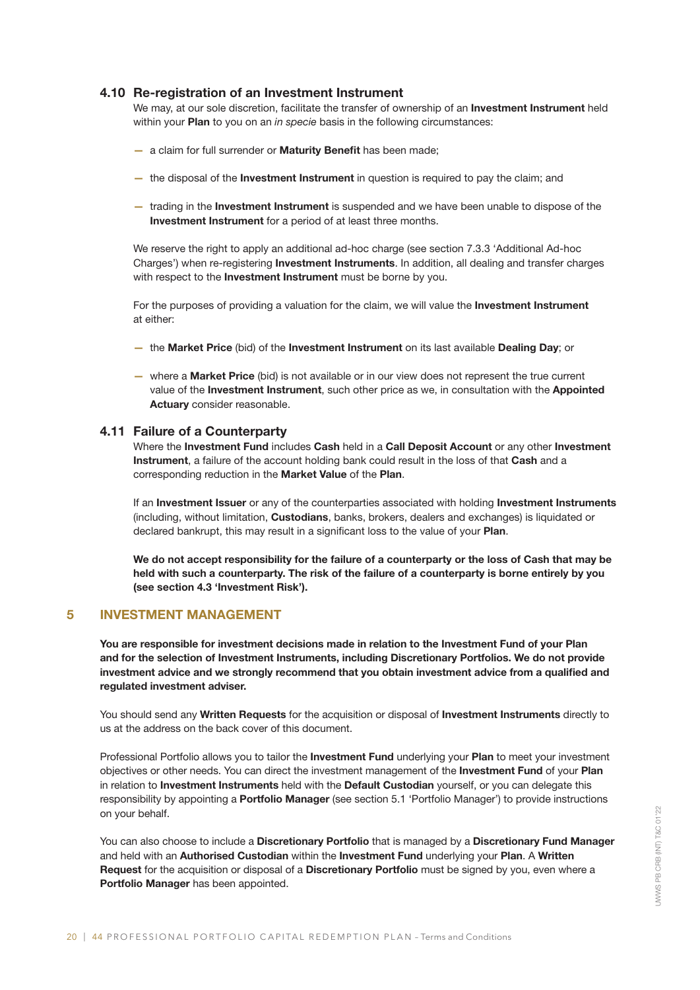## 4.10 Re-registration of an Investment Instrument

We may, at our sole discretion, facilitate the transfer of ownership of an Investment Instrument held within your Plan to you on an *in specie* basis in the following circumstances:

- a claim for full surrender or **Maturity Benefit** has been made;
- the disposal of the **Investment Instrument** in question is required to pay the claim; and
- trading in the Investment Instrument is suspended and we have been unable to dispose of the Investment Instrument for a period of at least three months.

We reserve the right to apply an additional ad-hoc charge (see section 7.3.3 'Additional Ad-hoc Charges') when re-registering Investment Instruments. In addition, all dealing and transfer charges with respect to the Investment Instrument must be borne by you.

For the purposes of providing a valuation for the claim, we will value the **Investment Instrument** at either:

- the Market Price (bid) of the Investment Instrument on its last available Dealing Day; or
- where a Market Price (bid) is not available or in our view does not represent the true current value of the Investment Instrument, such other price as we, in consultation with the Appointed Actuary consider reasonable.

#### 4.11 Failure of a Counterparty

Where the Investment Fund includes Cash held in a Call Deposit Account or any other Investment Instrument, a failure of the account holding bank could result in the loss of that Cash and a corresponding reduction in the Market Value of the Plan.

If an Investment Issuer or any of the counterparties associated with holding Investment Instruments (including, without limitation, Custodians, banks, brokers, dealers and exchanges) is liquidated or declared bankrupt, this may result in a significant loss to the value of your Plan.

We do not accept responsibility for the failure of a counterparty or the loss of Cash that may be held with such a counterparty. The risk of the failure of a counterparty is borne entirely by you (see section 4.3 'Investment Risk').

## 5 INVESTMENT MANAGEMENT

You are responsible for investment decisions made in relation to the Investment Fund of your Plan and for the selection of Investment Instruments, including Discretionary Portfolios. We do not provide investment advice and we strongly recommend that you obtain investment advice from a qualified and regulated investment adviser.

You should send any Written Requests for the acquisition or disposal of Investment Instruments directly to us at the address on the back cover of this document.

Professional Portfolio allows you to tailor the Investment Fund underlying your Plan to meet your investment objectives or other needs. You can direct the investment management of the Investment Fund of your Plan in relation to Investment Instruments held with the Default Custodian yourself, or you can delegate this responsibility by appointing a **Portfolio Manager** (see section 5.1 'Portfolio Manager') to provide instructions on your behalf.

You can also choose to include a Discretionary Portfolio that is managed by a Discretionary Fund Manager and held with an Authorised Custodian within the Investment Fund underlying your Plan. A Written Request for the acquisition or disposal of a Discretionary Portfolio must be signed by you, even where a Portfolio Manager has been appointed.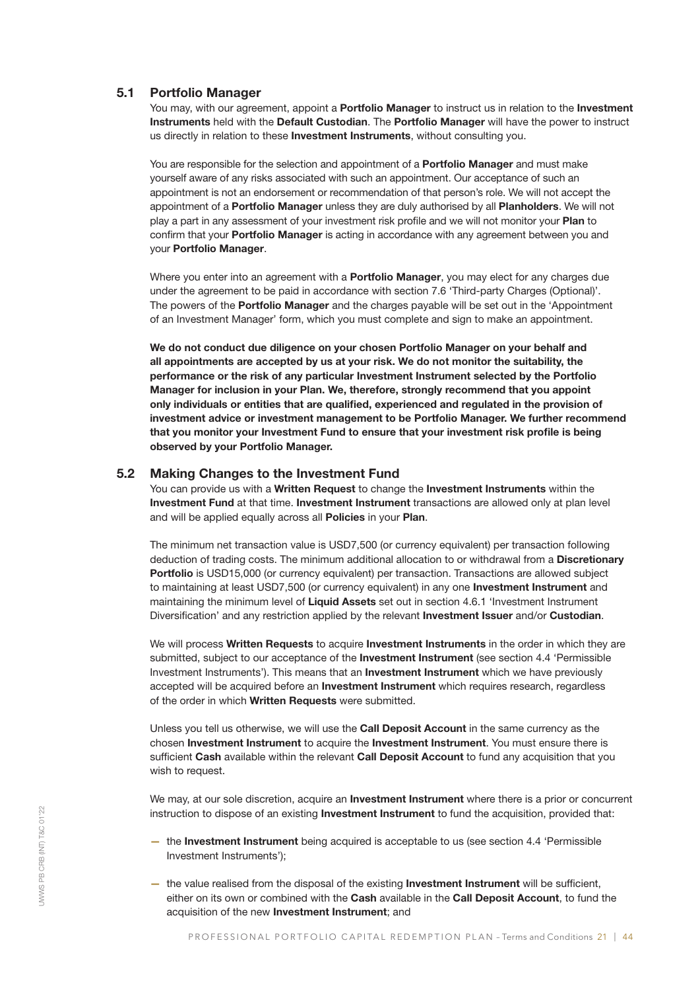#### 5.1 Portfolio Manager

You may, with our agreement, appoint a Portfolio Manager to instruct us in relation to the Investment Instruments held with the Default Custodian. The Portfolio Manager will have the power to instruct us directly in relation to these Investment Instruments, without consulting you.

You are responsible for the selection and appointment of a **Portfolio Manager** and must make yourself aware of any risks associated with such an appointment. Our acceptance of such an appointment is not an endorsement or recommendation of that person's role. We will not accept the appointment of a **Portfolio Manager** unless they are duly authorised by all **Planholders**. We will not play a part in any assessment of your investment risk profile and we will not monitor your Plan to confirm that your **Portfolio Manager** is acting in accordance with any agreement between you and your Portfolio Manager.

Where you enter into an agreement with a **Portfolio Manager**, you may elect for any charges due under the agreement to be paid in accordance with section 7.6 'Third-party Charges (Optional)'. The powers of the **Portfolio Manager** and the charges payable will be set out in the 'Appointment' of an Investment Manager' form, which you must complete and sign to make an appointment.

We do not conduct due diligence on your chosen Portfolio Manager on your behalf and all appointments are accepted by us at your risk. We do not monitor the suitability, the performance or the risk of any particular Investment Instrument selected by the Portfolio Manager for inclusion in your Plan. We, therefore, strongly recommend that you appoint only individuals or entities that are qualified, experienced and regulated in the provision of investment advice or investment management to be Portfolio Manager. We further recommend that you monitor your Investment Fund to ensure that your investment risk profile is being observed by your Portfolio Manager.

## 5.2 Making Changes to the Investment Fund

You can provide us with a Written Request to change the Investment Instruments within the Investment Fund at that time. Investment Instrument transactions are allowed only at plan level and will be applied equally across all Policies in your Plan.

The minimum net transaction value is USD7,500 (or currency equivalent) per transaction following deduction of trading costs. The minimum additional allocation to or withdrawal from a Discretionary Portfolio is USD15,000 (or currency equivalent) per transaction. Transactions are allowed subject to maintaining at least USD7,500 (or currency equivalent) in any one Investment Instrument and maintaining the minimum level of Liquid Assets set out in section 4.6.1 'Investment Instrument Diversification' and any restriction applied by the relevant **Investment Issuer** and/or **Custodian**.

We will process Written Requests to acquire Investment Instruments in the order in which they are submitted, subject to our acceptance of the **Investment Instrument** (see section 4.4 'Permissible Investment Instruments'). This means that an **Investment Instrument** which we have previously accepted will be acquired before an **Investment Instrument** which requires research, regardless of the order in which Written Requests were submitted.

Unless you tell us otherwise, we will use the **Call Deposit Account** in the same currency as the chosen Investment Instrument to acquire the Investment Instrument. You must ensure there is sufficient Cash available within the relevant Call Deposit Account to fund any acquisition that you wish to request.

We may, at our sole discretion, acquire an **Investment Instrument** where there is a prior or concurrent instruction to dispose of an existing Investment Instrument to fund the acquisition, provided that:

- the Investment Instrument being acquired is acceptable to us (see section 4.4 'Permissible Investment Instruments');
- the value realised from the disposal of the existing **Investment Instrument** will be sufficient, either on its own or combined with the Cash available in the Call Deposit Account, to fund the acquisition of the new Investment Instrument; and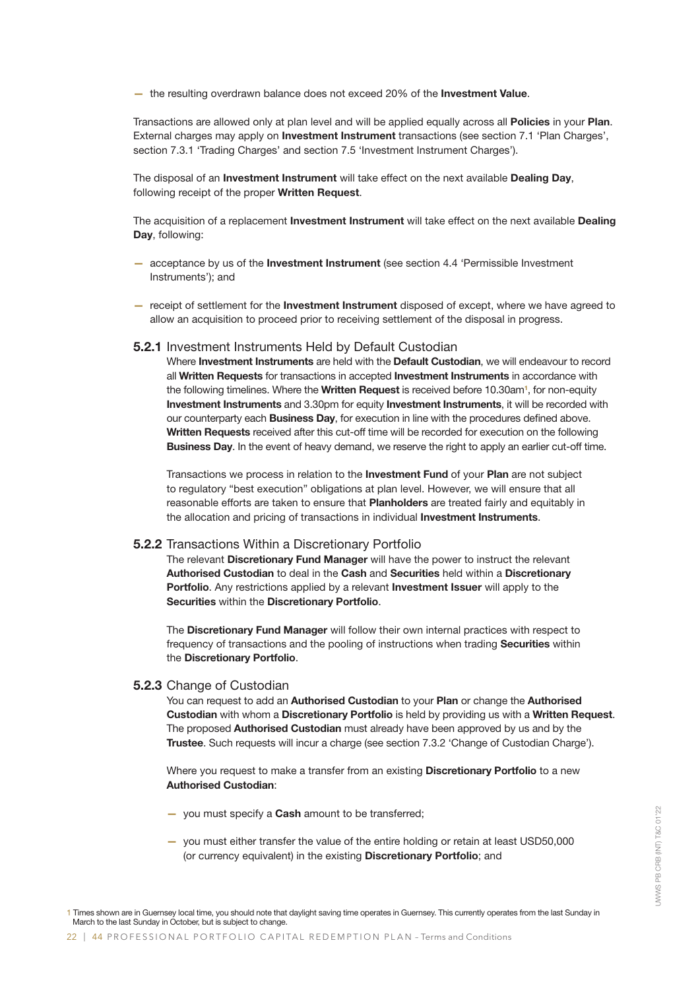- the resulting overdrawn balance does not exceed 20% of the Investment Value.

Transactions are allowed only at plan level and will be applied equally across all Policies in your Plan. External charges may apply on Investment Instrument transactions (see section 7.1 'Plan Charges', section 7.3.1 'Trading Charges' and section 7.5 'Investment Instrument Charges').

The disposal of an **Investment Instrument** will take effect on the next available **Dealing Day**, following receipt of the proper Written Request.

The acquisition of a replacement **Investment Instrument** will take effect on the next available **Dealing** Day, following:

- acceptance by us of the Investment Instrument (see section 4.4 'Permissible Investment Instruments'); and
- receipt of settlement for the Investment Instrument disposed of except, where we have agreed to allow an acquisition to proceed prior to receiving settlement of the disposal in progress.

#### 5.2.1 Investment Instruments Held by Default Custodian

Where Investment Instruments are held with the Default Custodian, we will endeavour to record all Written Requests for transactions in accepted Investment Instruments in accordance with the following timelines. Where the Written Request is received before 10.30am<sup>1</sup>, for non-equity Investment Instruments and 3.30pm for equity Investment Instruments, it will be recorded with our counterparty each Business Day, for execution in line with the procedures defined above. Written Requests received after this cut-off time will be recorded for execution on the following Business Day. In the event of heavy demand, we reserve the right to apply an earlier cut-off time.

Transactions we process in relation to the **Investment Fund** of your **Plan** are not subject to regulatory "best execution" obligations at plan level. However, we will ensure that all reasonable efforts are taken to ensure that Planholders are treated fairly and equitably in the allocation and pricing of transactions in individual Investment Instruments.

#### 5.2.2 Transactions Within a Discretionary Portfolio

The relevant Discretionary Fund Manager will have the power to instruct the relevant Authorised Custodian to deal in the Cash and Securities held within a Discretionary Portfolio. Any restrictions applied by a relevant **Investment Issuer** will apply to the Securities within the Discretionary Portfolio.

The Discretionary Fund Manager will follow their own internal practices with respect to frequency of transactions and the pooling of instructions when trading Securities within the Discretionary Portfolio.

#### 5.2.3 Change of Custodian

You can request to add an Authorised Custodian to your Plan or change the Authorised Custodian with whom a Discretionary Portfolio is held by providing us with a Written Request. The proposed **Authorised Custodian** must already have been approved by us and by the Trustee. Such requests will incur a charge (see section 7.3.2 'Change of Custodian Charge').

Where you request to make a transfer from an existing **Discretionary Portfolio** to a new Authorised Custodian:

- you must specify a **Cash** amount to be transferred;
- you must either transfer the value of the entire holding or retain at least USD50,000 (or currency equivalent) in the existing Discretionary Portfolio; and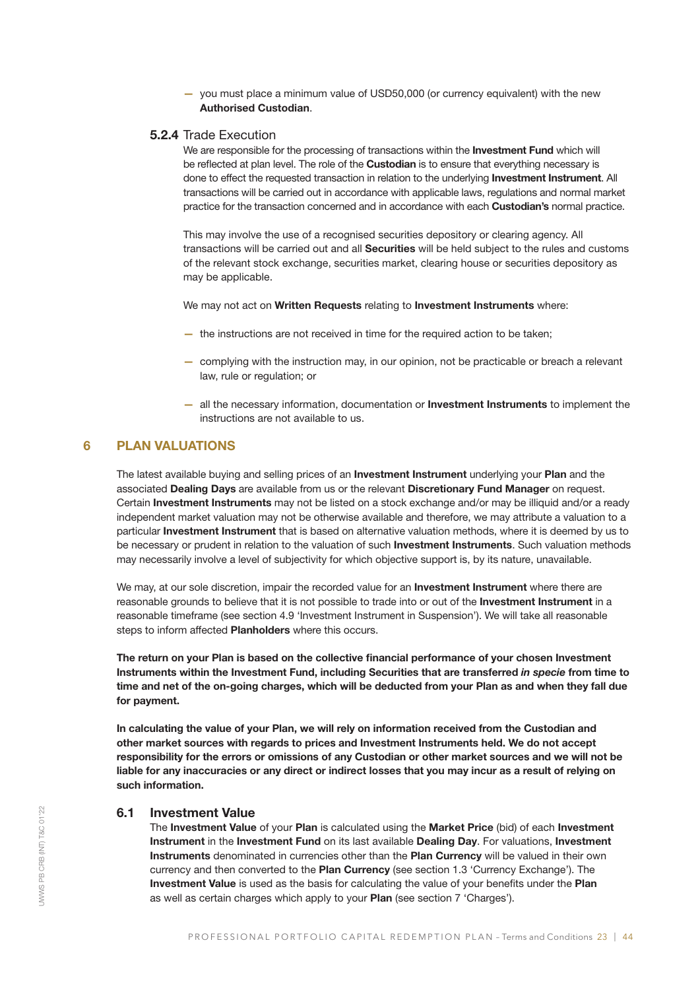— you must place a minimum value of USD50,000 (or currency equivalent) with the new Authorised Custodian.

## 5.2.4 Trade Execution

We are responsible for the processing of transactions within the Investment Fund which will be reflected at plan level. The role of the **Custodian** is to ensure that everything necessary is done to effect the requested transaction in relation to the underlying **Investment Instrument**. All transactions will be carried out in accordance with applicable laws, regulations and normal market practice for the transaction concerned and in accordance with each Custodian's normal practice.

This may involve the use of a recognised securities depository or clearing agency. All transactions will be carried out and all Securities will be held subject to the rules and customs of the relevant stock exchange, securities market, clearing house or securities depository as may be applicable.

We may not act on Written Requests relating to Investment Instruments where:

- the instructions are not received in time for the required action to be taken;
- complying with the instruction may, in our opinion, not be practicable or breach a relevant law, rule or regulation; or
- all the necessary information, documentation or Investment Instruments to implement the instructions are not available to us.

## 6 PLAN VALUATIONS

The latest available buying and selling prices of an **Investment Instrument** underlying your Plan and the associated Dealing Days are available from us or the relevant Discretionary Fund Manager on request. Certain Investment Instruments may not be listed on a stock exchange and/or may be illiquid and/or a ready independent market valuation may not be otherwise available and therefore, we may attribute a valuation to a particular Investment Instrument that is based on alternative valuation methods, where it is deemed by us to be necessary or prudent in relation to the valuation of such Investment Instruments. Such valuation methods may necessarily involve a level of subjectivity for which objective support is, by its nature, unavailable.

We may, at our sole discretion, impair the recorded value for an **Investment Instrument** where there are reasonable grounds to believe that it is not possible to trade into or out of the Investment Instrument in a reasonable timeframe (see section 4.9 'Investment Instrument in Suspension'). We will take all reasonable steps to inform affected **Planholders** where this occurs.

The return on your Plan is based on the collective financial performance of your chosen Investment Instruments within the Investment Fund, including Securities that are transferred *in specie* from time to time and net of the on-going charges, which will be deducted from your Plan as and when they fall due for payment.

In calculating the value of your Plan, we will rely on information received from the Custodian and other market sources with regards to prices and Investment Instruments held. We do not accept responsibility for the errors or omissions of any Custodian or other market sources and we will not be liable for any inaccuracies or any direct or indirect losses that you may incur as a result of relying on such information.

## 6.1 Investment Value

The Investment Value of your Plan is calculated using the Market Price (bid) of each Investment Instrument in the Investment Fund on its last available Dealing Day. For valuations, Investment Instruments denominated in currencies other than the Plan Currency will be valued in their own currency and then converted to the Plan Currency (see section 1.3 'Currency Exchange'). The Investment Value is used as the basis for calculating the value of your benefits under the Plan as well as certain charges which apply to your Plan (see section 7 'Charges').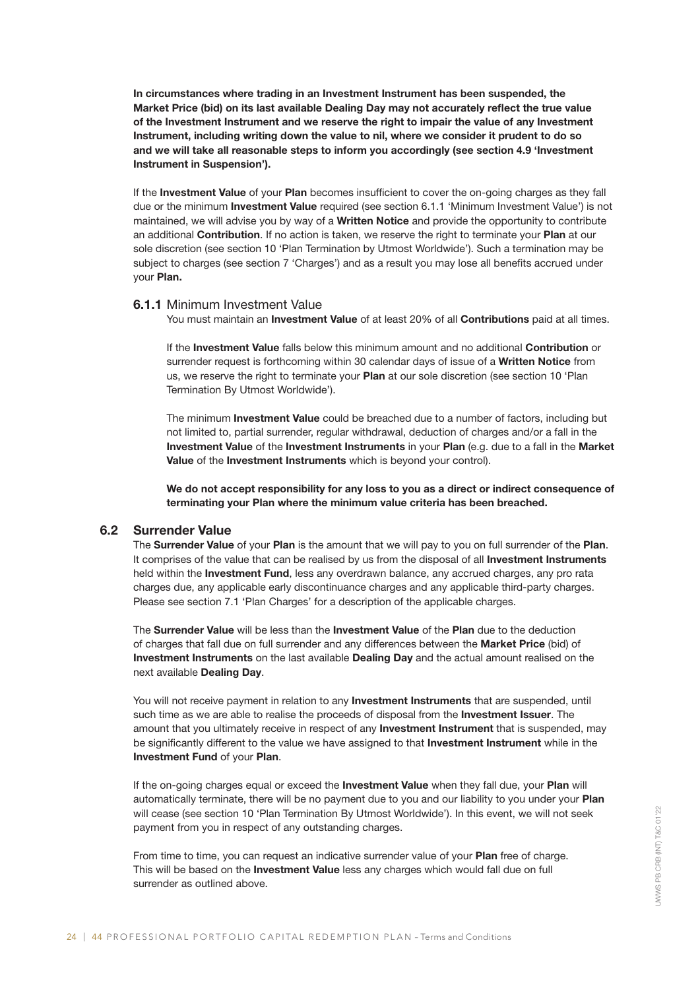In circumstances where trading in an Investment Instrument has been suspended, the Market Price (bid) on its last available Dealing Day may not accurately reflect the true value of the Investment Instrument and we reserve the right to impair the value of any Investment Instrument, including writing down the value to nil, where we consider it prudent to do so and we will take all reasonable steps to inform you accordingly (see section 4.9 'Investment Instrument in Suspension').

If the Investment Value of your Plan becomes insufficient to cover the on-going charges as they fall due or the minimum Investment Value required (see section 6.1.1 'Minimum Investment Value') is not maintained, we will advise you by way of a **Written Notice** and provide the opportunity to contribute an additional **Contribution**. If no action is taken, we reserve the right to terminate your **Plan** at our sole discretion (see section 10 'Plan Termination by Utmost Worldwide'). Such a termination may be subject to charges (see section 7 'Charges') and as a result you may lose all benefits accrued under your Plan.

## 6.1.1 Minimum Investment Value

You must maintain an Investment Value of at least 20% of all Contributions paid at all times.

If the Investment Value falls below this minimum amount and no additional Contribution or surrender request is forthcoming within 30 calendar days of issue of a Written Notice from us, we reserve the right to terminate your Plan at our sole discretion (see section 10 'Plan Termination By Utmost Worldwide').

The minimum Investment Value could be breached due to a number of factors, including but not limited to, partial surrender, regular withdrawal, deduction of charges and/or a fall in the Investment Value of the Investment Instruments in your Plan (e.g. due to a fall in the Market Value of the Investment Instruments which is beyond your control).

We do not accept responsibility for any loss to you as a direct or indirect consequence of terminating your Plan where the minimum value criteria has been breached.

#### 6.2 Surrender Value

The Surrender Value of your Plan is the amount that we will pay to you on full surrender of the Plan. It comprises of the value that can be realised by us from the disposal of all Investment Instruments held within the **Investment Fund**, less any overdrawn balance, any accrued charges, any pro rata charges due, any applicable early discontinuance charges and any applicable third-party charges. Please see section 7.1 'Plan Charges' for a description of the applicable charges.

The Surrender Value will be less than the Investment Value of the Plan due to the deduction of charges that fall due on full surrender and any differences between the Market Price (bid) of Investment Instruments on the last available Dealing Day and the actual amount realised on the next available Dealing Day.

You will not receive payment in relation to any Investment Instruments that are suspended, until such time as we are able to realise the proceeds of disposal from the **Investment Issuer**. The amount that you ultimately receive in respect of any **Investment Instrument** that is suspended, may be significantly different to the value we have assigned to that Investment Instrument while in the Investment Fund of your Plan.

If the on-going charges equal or exceed the **Investment Value** when they fall due, your **Plan** will automatically terminate, there will be no payment due to you and our liability to you under your Plan will cease (see section 10 'Plan Termination By Utmost Worldwide'). In this event, we will not seek payment from you in respect of any outstanding charges.

From time to time, you can request an indicative surrender value of your Plan free of charge. This will be based on the Investment Value less any charges which would fall due on full surrender as outlined above.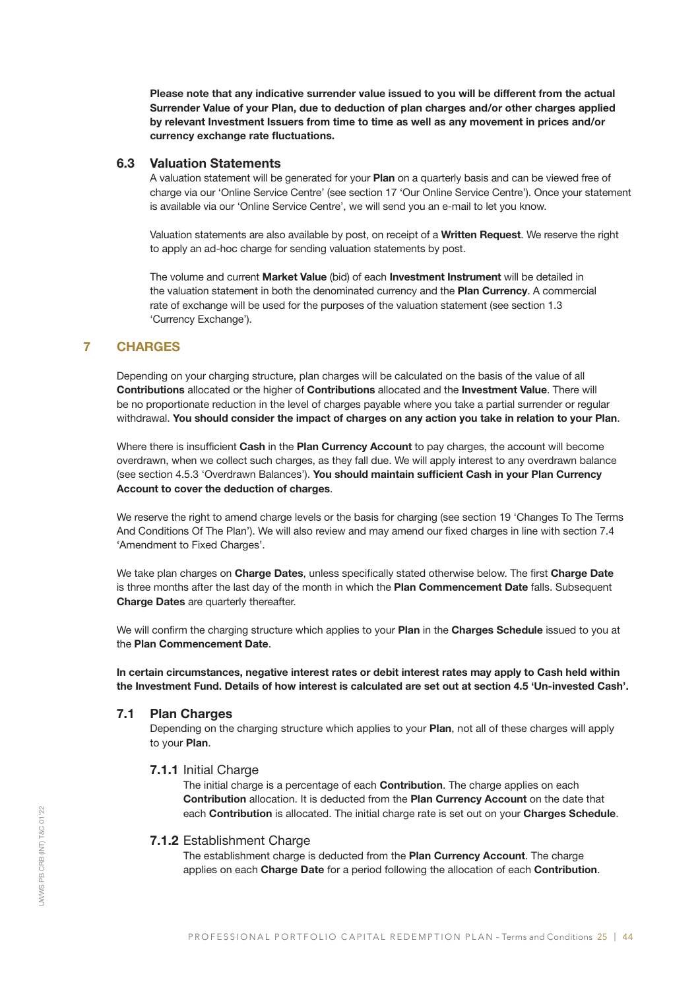Please note that any indicative surrender value issued to you will be different from the actual Surrender Value of your Plan, due to deduction of plan charges and/or other charges applied by relevant Investment Issuers from time to time as well as any movement in prices and/or currency exchange rate fluctuations.

## 6.3 Valuation Statements

A valuation statement will be generated for your Plan on a quarterly basis and can be viewed free of charge via our 'Online Service Centre' (see section 17 'Our Online Service Centre'). Once your statement is available via our 'Online Service Centre', we will send you an e-mail to let you know.

Valuation statements are also available by post, on receipt of a Written Request. We reserve the right to apply an ad-hoc charge for sending valuation statements by post.

The volume and current Market Value (bid) of each Investment Instrument will be detailed in the valuation statement in both the denominated currency and the Plan Currency. A commercial rate of exchange will be used for the purposes of the valuation statement (see section 1.3 'Currency Exchange').

## 7 CHARGES

Depending on your charging structure, plan charges will be calculated on the basis of the value of all Contributions allocated or the higher of Contributions allocated and the Investment Value. There will be no proportionate reduction in the level of charges payable where you take a partial surrender or regular withdrawal. You should consider the impact of charges on any action you take in relation to your Plan.

Where there is insufficient Cash in the Plan Currency Account to pay charges, the account will become overdrawn, when we collect such charges, as they fall due. We will apply interest to any overdrawn balance (see section 4.5.3 'Overdrawn Balances'). You should maintain sufficient Cash in your Plan Currency Account to cover the deduction of charges.

We reserve the right to amend charge levels or the basis for charging (see section 19 'Changes To The Terms And Conditions Of The Plan'). We will also review and may amend our fixed charges in line with section 7.4 'Amendment to Fixed Charges'.

We take plan charges on Charge Dates, unless specifically stated otherwise below. The first Charge Date is three months after the last day of the month in which the Plan Commencement Date falls. Subsequent Charge Dates are quarterly thereafter.

We will confirm the charging structure which applies to your Plan in the Charges Schedule issued to you at the Plan Commencement Date.

In certain circumstances, negative interest rates or debit interest rates may apply to Cash held within the Investment Fund. Details of how interest is calculated are set out at section 4.5 'Un-invested Cash'.

## 7.1 Plan Charges

Depending on the charging structure which applies to your **Plan**, not all of these charges will apply to your Plan.

## 7.1.1 Initial Charge

The initial charge is a percentage of each **Contribution**. The charge applies on each Contribution allocation. It is deducted from the Plan Currency Account on the date that each Contribution is allocated. The initial charge rate is set out on your Charges Schedule.

## 7.1.2 Establishment Charge

The establishment charge is deducted from the Plan Currency Account. The charge applies on each Charge Date for a period following the allocation of each Contribution.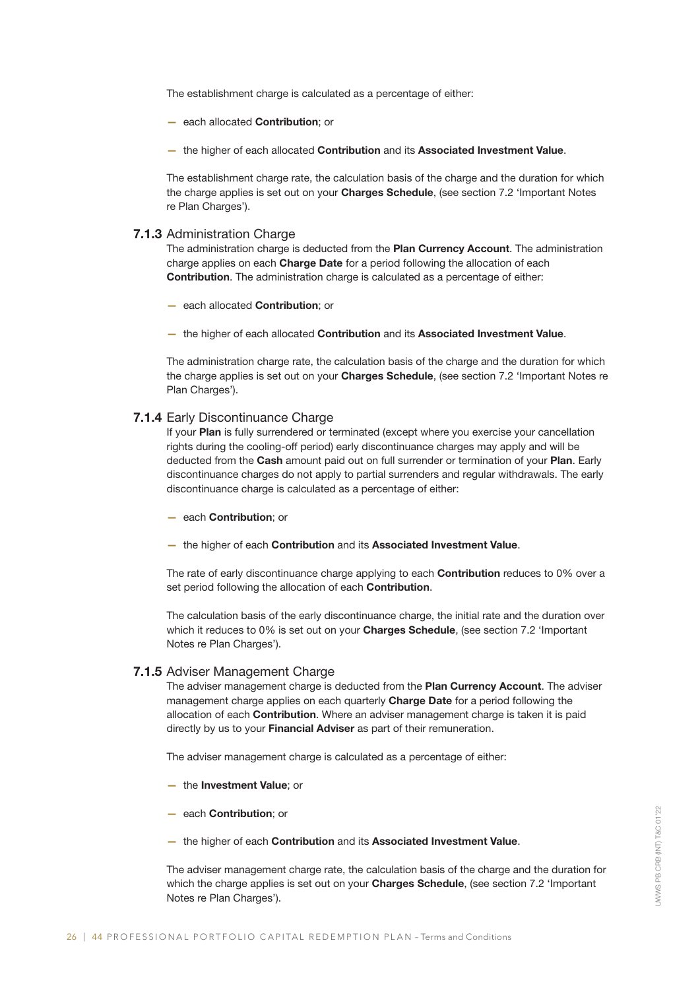The establishment charge is calculated as a percentage of either:

- each allocated Contribution; or
- the higher of each allocated Contribution and its Associated Investment Value.

The establishment charge rate, the calculation basis of the charge and the duration for which the charge applies is set out on your Charges Schedule, (see section 7.2 'Important Notes re Plan Charges').

#### 7.1.3 Administration Charge

The administration charge is deducted from the Plan Currency Account. The administration charge applies on each Charge Date for a period following the allocation of each Contribution. The administration charge is calculated as a percentage of either:

- each allocated Contribution; or
- the higher of each allocated Contribution and its Associated Investment Value.

The administration charge rate, the calculation basis of the charge and the duration for which the charge applies is set out on your Charges Schedule, (see section 7.2 'Important Notes re Plan Charges').

#### 7.1.4 Early Discontinuance Charge

If your Plan is fully surrendered or terminated (except where you exercise your cancellation rights during the cooling-off period) early discontinuance charges may apply and will be deducted from the Cash amount paid out on full surrender or termination of your Plan. Early discontinuance charges do not apply to partial surrenders and regular withdrawals. The early discontinuance charge is calculated as a percentage of either:

- each Contribution; or
- the higher of each Contribution and its Associated Investment Value.

The rate of early discontinuance charge applying to each **Contribution** reduces to 0% over a set period following the allocation of each **Contribution**.

The calculation basis of the early discontinuance charge, the initial rate and the duration over which it reduces to 0% is set out on your **Charges Schedule**, (see section 7.2 'Important Notes re Plan Charges').

#### 7.1.5 Adviser Management Charge

The adviser management charge is deducted from the Plan Currency Account. The adviser management charge applies on each quarterly Charge Date for a period following the allocation of each Contribution. Where an adviser management charge is taken it is paid directly by us to your **Financial Adviser** as part of their remuneration.

The adviser management charge is calculated as a percentage of either:

- the Investment Value; or
- each Contribution; or
- the higher of each Contribution and its Associated Investment Value.

The adviser management charge rate, the calculation basis of the charge and the duration for which the charge applies is set out on your **Charges Schedule**, (see section 7.2 'Important Notes re Plan Charges').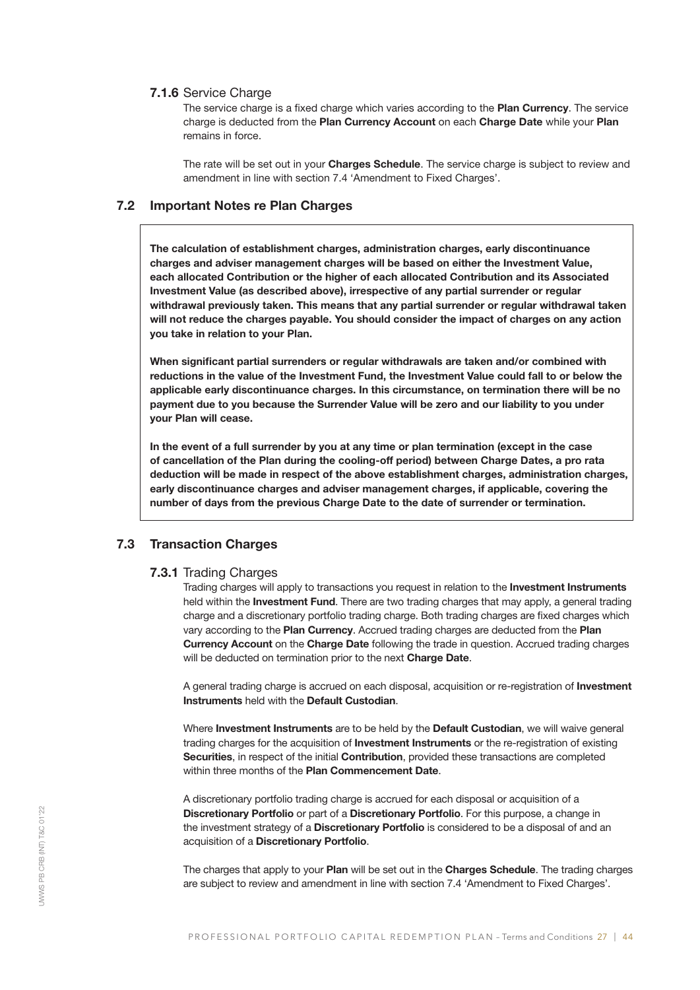#### 7.1.6 Service Charge

The service charge is a fixed charge which varies according to the Plan Currency. The service charge is deducted from the Plan Currency Account on each Charge Date while your Plan remains in force.

The rate will be set out in your Charges Schedule. The service charge is subject to review and amendment in line with section 7.4 'Amendment to Fixed Charges'.

## 7.2 Important Notes re Plan Charges

The calculation of establishment charges, administration charges, early discontinuance charges and adviser management charges will be based on either the Investment Value, each allocated Contribution or the higher of each allocated Contribution and its Associated Investment Value (as described above), irrespective of any partial surrender or regular withdrawal previously taken. This means that any partial surrender or regular withdrawal taken will not reduce the charges payable. You should consider the impact of charges on any action you take in relation to your Plan.

When significant partial surrenders or regular withdrawals are taken and/or combined with reductions in the value of the Investment Fund, the Investment Value could fall to or below the applicable early discontinuance charges. In this circumstance, on termination there will be no payment due to you because the Surrender Value will be zero and our liability to you under your Plan will cease.

In the event of a full surrender by you at any time or plan termination (except in the case of cancellation of the Plan during the cooling-off period) between Charge Dates, a pro rata deduction will be made in respect of the above establishment charges, administration charges, early discontinuance charges and adviser management charges, if applicable, covering the number of days from the previous Charge Date to the date of surrender or termination.

#### 7.3 Transaction Charges

#### 7.3.1 Trading Charges

Trading charges will apply to transactions you request in relation to the **Investment Instruments** held within the Investment Fund. There are two trading charges that may apply, a general trading charge and a discretionary portfolio trading charge. Both trading charges are fixed charges which vary according to the Plan Currency. Accrued trading charges are deducted from the Plan Currency Account on the Charge Date following the trade in question. Accrued trading charges will be deducted on termination prior to the next Charge Date.

A general trading charge is accrued on each disposal, acquisition or re-registration of Investment Instruments held with the Default Custodian.

Where Investment Instruments are to be held by the Default Custodian, we will waive general trading charges for the acquisition of **Investment Instruments** or the re-registration of existing Securities. in respect of the initial Contribution, provided these transactions are completed within three months of the Plan Commencement Date.

A discretionary portfolio trading charge is accrued for each disposal or acquisition of a Discretionary Portfolio or part of a Discretionary Portfolio. For this purpose, a change in the investment strategy of a Discretionary Portfolio is considered to be a disposal of and an acquisition of a Discretionary Portfolio.

The charges that apply to your Plan will be set out in the Charges Schedule. The trading charges are subject to review and amendment in line with section 7.4 'Amendment to Fixed Charges'.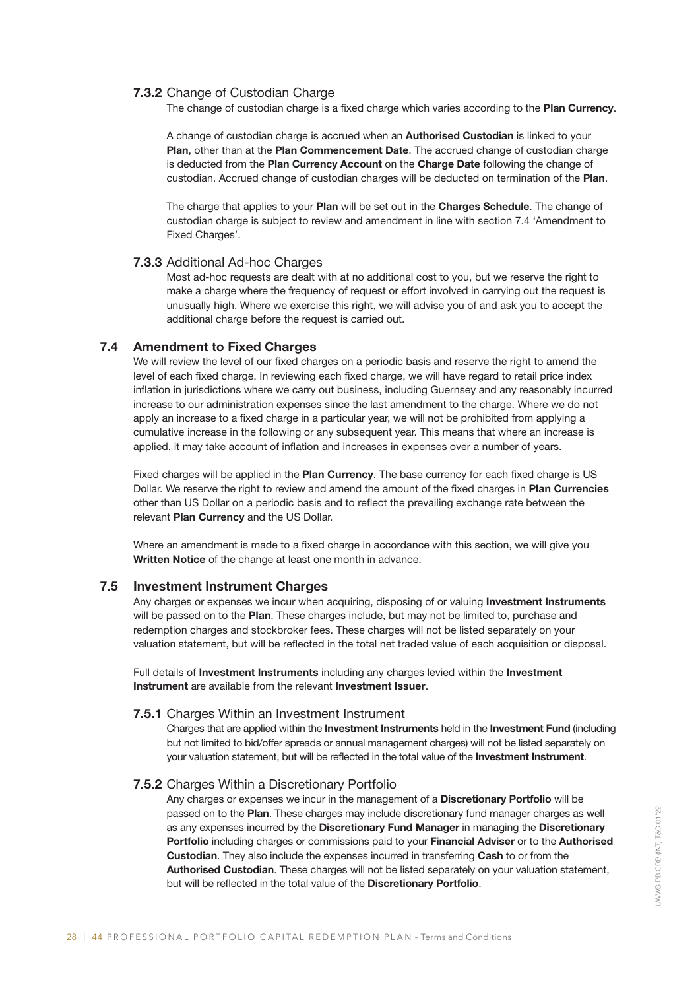## 7.3.2 Change of Custodian Charge

The change of custodian charge is a fixed charge which varies according to the Plan Currency.

A change of custodian charge is accrued when an Authorised Custodian is linked to your Plan, other than at the Plan Commencement Date. The accrued change of custodian charge is deducted from the Plan Currency Account on the Charge Date following the change of custodian. Accrued change of custodian charges will be deducted on termination of the Plan.

The charge that applies to your Plan will be set out in the Charges Schedule. The change of custodian charge is subject to review and amendment in line with section 7.4 'Amendment to Fixed Charges'.

## 7.3.3 Additional Ad-hoc Charges

Most ad-hoc requests are dealt with at no additional cost to you, but we reserve the right to make a charge where the frequency of request or effort involved in carrying out the request is unusually high. Where we exercise this right, we will advise you of and ask you to accept the additional charge before the request is carried out.

## 7.4 Amendment to Fixed Charges

We will review the level of our fixed charges on a periodic basis and reserve the right to amend the level of each fixed charge. In reviewing each fixed charge, we will have regard to retail price index inflation in jurisdictions where we carry out business, including Guernsey and any reasonably incurred increase to our administration expenses since the last amendment to the charge. Where we do not apply an increase to a fixed charge in a particular year, we will not be prohibited from applying a cumulative increase in the following or any subsequent year. This means that where an increase is applied, it may take account of inflation and increases in expenses over a number of years.

Fixed charges will be applied in the **Plan Currency**. The base currency for each fixed charge is US Dollar. We reserve the right to review and amend the amount of the fixed charges in Plan Currencies other than US Dollar on a periodic basis and to reflect the prevailing exchange rate between the relevant Plan Currency and the US Dollar.

Where an amendment is made to a fixed charge in accordance with this section, we will give you Written Notice of the change at least one month in advance.

## 7.5 Investment Instrument Charges

Any charges or expenses we incur when acquiring, disposing of or valuing Investment Instruments will be passed on to the Plan. These charges include, but may not be limited to, purchase and redemption charges and stockbroker fees. These charges will not be listed separately on your valuation statement, but will be reflected in the total net traded value of each acquisition or disposal.

Full details of Investment Instruments including any charges levied within the Investment Instrument are available from the relevant Investment Issuer.

## 7.5.1 Charges Within an Investment Instrument

Charges that are applied within the Investment Instruments held in the Investment Fund (including but not limited to bid/offer spreads or annual management charges) will not be listed separately on your valuation statement, but will be reflected in the total value of the Investment Instrument.

#### 7.5.2 Charges Within a Discretionary Portfolio

Any charges or expenses we incur in the management of a **Discretionary Portfolio** will be passed on to the Plan. These charges may include discretionary fund manager charges as well as any expenses incurred by the Discretionary Fund Manager in managing the Discretionary Portfolio including charges or commissions paid to your Financial Adviser or to the Authorised Custodian. They also include the expenses incurred in transferring Cash to or from the Authorised Custodian. These charges will not be listed separately on your valuation statement, but will be reflected in the total value of the Discretionary Portfolio.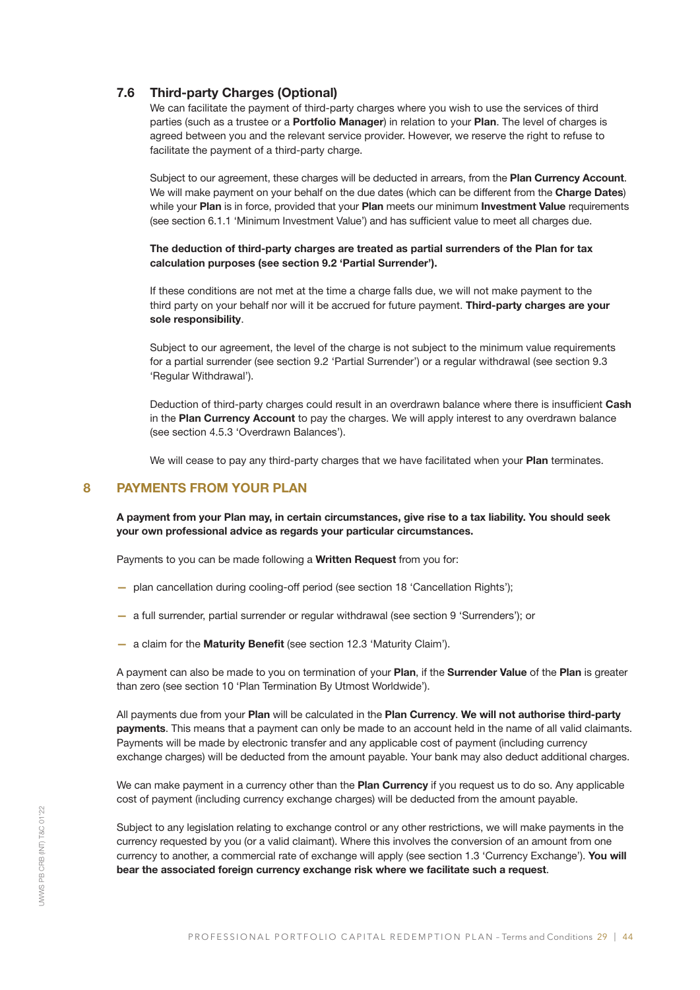## 7.6 Third-party Charges (Optional)

We can facilitate the payment of third-party charges where you wish to use the services of third parties (such as a trustee or a Portfolio Manager) in relation to your Plan. The level of charges is agreed between you and the relevant service provider. However, we reserve the right to refuse to facilitate the payment of a third-party charge.

Subject to our agreement, these charges will be deducted in arrears, from the Plan Currency Account. We will make payment on your behalf on the due dates (which can be different from the Charge Dates) while your Plan is in force, provided that your Plan meets our minimum Investment Value requirements (see section 6.1.1 'Minimum Investment Value') and has sufficient value to meet all charges due.

#### The deduction of third-party charges are treated as partial surrenders of the Plan for tax calculation purposes (see section 9.2 'Partial Surrender').

If these conditions are not met at the time a charge falls due, we will not make payment to the third party on your behalf nor will it be accrued for future payment. Third-party charges are your sole responsibility.

Subject to our agreement, the level of the charge is not subject to the minimum value requirements for a partial surrender (see section 9.2 'Partial Surrender') or a regular withdrawal (see section 9.3 'Regular Withdrawal').

Deduction of third-party charges could result in an overdrawn balance where there is insufficient Cash in the Plan Currency Account to pay the charges. We will apply interest to any overdrawn balance (see section 4.5.3 'Overdrawn Balances').

We will cease to pay any third-party charges that we have facilitated when your Plan terminates.

## 8 PAYMENTS FROM YOUR PLAN

A payment from your Plan may, in certain circumstances, give rise to a tax liability. You should seek your own professional advice as regards your particular circumstances.

Payments to you can be made following a Written Request from you for:

- plan cancellation during cooling-off period (see section 18 'Cancellation Rights');
- a full surrender, partial surrender or regular withdrawal (see section 9 'Surrenders'); or
- a claim for the Maturity Benefit (see section 12.3 'Maturity Claim').

A payment can also be made to you on termination of your Plan, if the Surrender Value of the Plan is greater than zero (see section 10 'Plan Termination By Utmost Worldwide').

All payments due from your Plan will be calculated in the Plan Currency. We will not authorise third-party payments. This means that a payment can only be made to an account held in the name of all valid claimants. Payments will be made by electronic transfer and any applicable cost of payment (including currency exchange charges) will be deducted from the amount payable. Your bank may also deduct additional charges.

We can make payment in a currency other than the Plan Currency if you request us to do so. Any applicable cost of payment (including currency exchange charges) will be deducted from the amount payable.

Subject to any legislation relating to exchange control or any other restrictions, we will make payments in the currency requested by you (or a valid claimant). Where this involves the conversion of an amount from one currency to another, a commercial rate of exchange will apply (see section 1.3 'Currency Exchange'). You will bear the associated foreign currency exchange risk where we facilitate such a request.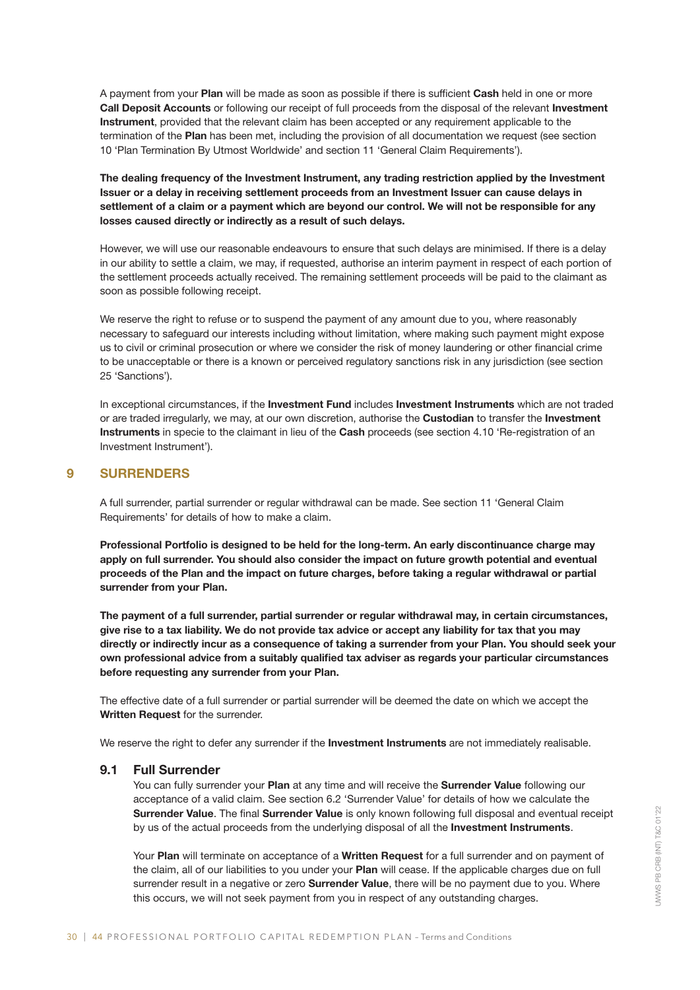A payment from your Plan will be made as soon as possible if there is sufficient Cash held in one or more Call Deposit Accounts or following our receipt of full proceeds from the disposal of the relevant Investment Instrument, provided that the relevant claim has been accepted or any requirement applicable to the termination of the Plan has been met, including the provision of all documentation we request (see section 10 'Plan Termination By Utmost Worldwide' and section 11 'General Claim Requirements').

The dealing frequency of the Investment Instrument, any trading restriction applied by the Investment Issuer or a delay in receiving settlement proceeds from an Investment Issuer can cause delays in settlement of a claim or a payment which are beyond our control. We will not be responsible for any losses caused directly or indirectly as a result of such delays.

However, we will use our reasonable endeavours to ensure that such delays are minimised. If there is a delay in our ability to settle a claim, we may, if requested, authorise an interim payment in respect of each portion of the settlement proceeds actually received. The remaining settlement proceeds will be paid to the claimant as soon as possible following receipt.

We reserve the right to refuse or to suspend the payment of any amount due to you, where reasonably necessary to safeguard our interests including without limitation, where making such payment might expose us to civil or criminal prosecution or where we consider the risk of money laundering or other financial crime to be unacceptable or there is a known or perceived regulatory sanctions risk in any jurisdiction (see section 25 'Sanctions').

In exceptional circumstances, if the Investment Fund includes Investment Instruments which are not traded or are traded irregularly, we may, at our own discretion, authorise the Custodian to transfer the Investment Instruments in specie to the claimant in lieu of the Cash proceeds (see section 4.10 'Re-registration of an Investment Instrument').

## 9 SURRENDERS

A full surrender, partial surrender or regular withdrawal can be made. See section 11 'General Claim Requirements' for details of how to make a claim.

Professional Portfolio is designed to be held for the long-term. An early discontinuance charge may apply on full surrender. You should also consider the impact on future growth potential and eventual proceeds of the Plan and the impact on future charges, before taking a regular withdrawal or partial surrender from your Plan.

The payment of a full surrender, partial surrender or regular withdrawal may, in certain circumstances, give rise to a tax liability. We do not provide tax advice or accept any liability for tax that you may directly or indirectly incur as a consequence of taking a surrender from your Plan. You should seek your own professional advice from a suitably qualified tax adviser as regards your particular circumstances before requesting any surrender from your Plan.

The effective date of a full surrender or partial surrender will be deemed the date on which we accept the Written Request for the surrender.

We reserve the right to defer any surrender if the Investment Instruments are not immediately realisable.

## 9.1 Full Surrender

You can fully surrender your Plan at any time and will receive the Surrender Value following our acceptance of a valid claim. See section 6.2 'Surrender Value' for details of how we calculate the Surrender Value. The final Surrender Value is only known following full disposal and eventual receipt by us of the actual proceeds from the underlying disposal of all the Investment Instruments.

Your Plan will terminate on acceptance of a Written Request for a full surrender and on payment of the claim, all of our liabilities to you under your Plan will cease. If the applicable charges due on full surrender result in a negative or zero **Surrender Value**, there will be no payment due to you. Where this occurs, we will not seek payment from you in respect of any outstanding charges.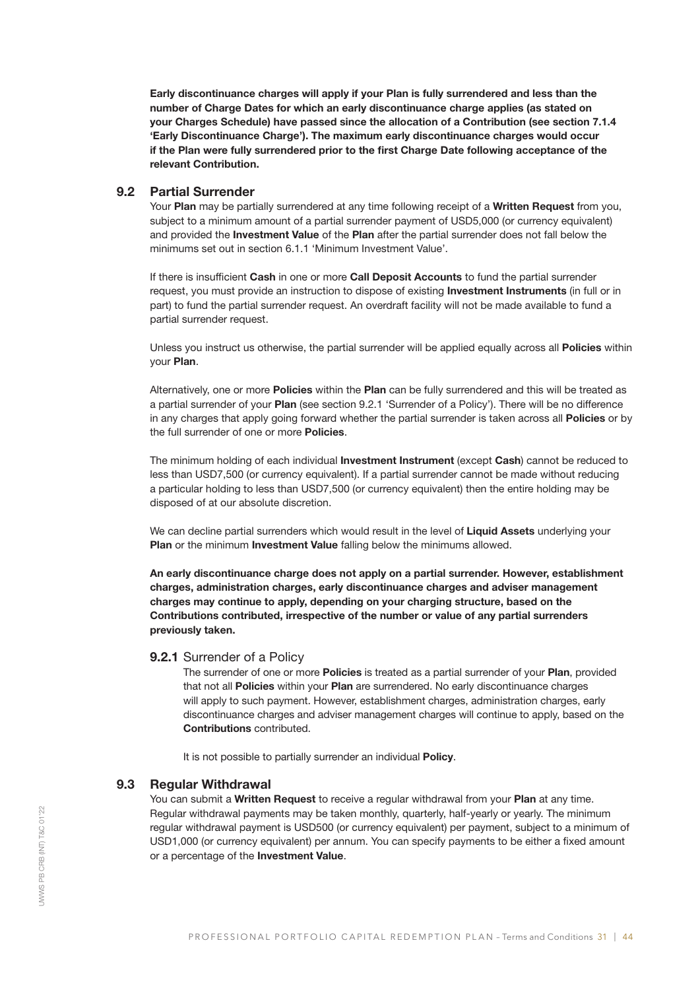Early discontinuance charges will apply if your Plan is fully surrendered and less than the number of Charge Dates for which an early discontinuance charge applies (as stated on your Charges Schedule) have passed since the allocation of a Contribution (see section 7.1.4 'Early Discontinuance Charge'). The maximum early discontinuance charges would occur if the Plan were fully surrendered prior to the first Charge Date following acceptance of the relevant Contribution.

## 9.2 Partial Surrender

Your Plan may be partially surrendered at any time following receipt of a Written Request from you, subject to a minimum amount of a partial surrender payment of USD5,000 (or currency equivalent) and provided the **Investment Value** of the Plan after the partial surrender does not fall below the minimums set out in section 6.1.1 'Minimum Investment Value'.

If there is insufficient Cash in one or more Call Deposit Accounts to fund the partial surrender request, you must provide an instruction to dispose of existing Investment Instruments (in full or in part) to fund the partial surrender request. An overdraft facility will not be made available to fund a partial surrender request.

Unless you instruct us otherwise, the partial surrender will be applied equally across all Policies within your Plan.

Alternatively, one or more **Policies** within the Plan can be fully surrendered and this will be treated as a partial surrender of your Plan (see section 9.2.1 'Surrender of a Policy'). There will be no difference in any charges that apply going forward whether the partial surrender is taken across all Policies or by the full surrender of one or more **Policies**.

The minimum holding of each individual Investment Instrument (except Cash) cannot be reduced to less than USD7,500 (or currency equivalent). If a partial surrender cannot be made without reducing a particular holding to less than USD7,500 (or currency equivalent) then the entire holding may be disposed of at our absolute discretion.

We can decline partial surrenders which would result in the level of Liquid Assets underlying your Plan or the minimum Investment Value falling below the minimums allowed.

An early discontinuance charge does not apply on a partial surrender. However, establishment charges, administration charges, early discontinuance charges and adviser management charges may continue to apply, depending on your charging structure, based on the Contributions contributed, irrespective of the number or value of any partial surrenders previously taken.

## 9.2.1 Surrender of a Policy

The surrender of one or more Policies is treated as a partial surrender of your Plan, provided that not all Policies within your Plan are surrendered. No early discontinuance charges will apply to such payment. However, establishment charges, administration charges, early discontinuance charges and adviser management charges will continue to apply, based on the Contributions contributed.

It is not possible to partially surrender an individual Policy.

## 9.3 Regular Withdrawal

You can submit a Written Request to receive a regular withdrawal from your Plan at any time. Regular withdrawal payments may be taken monthly, quarterly, half-yearly or yearly. The minimum regular withdrawal payment is USD500 (or currency equivalent) per payment, subject to a minimum of USD1,000 (or currency equivalent) per annum. You can specify payments to be either a fixed amount or a percentage of the Investment Value.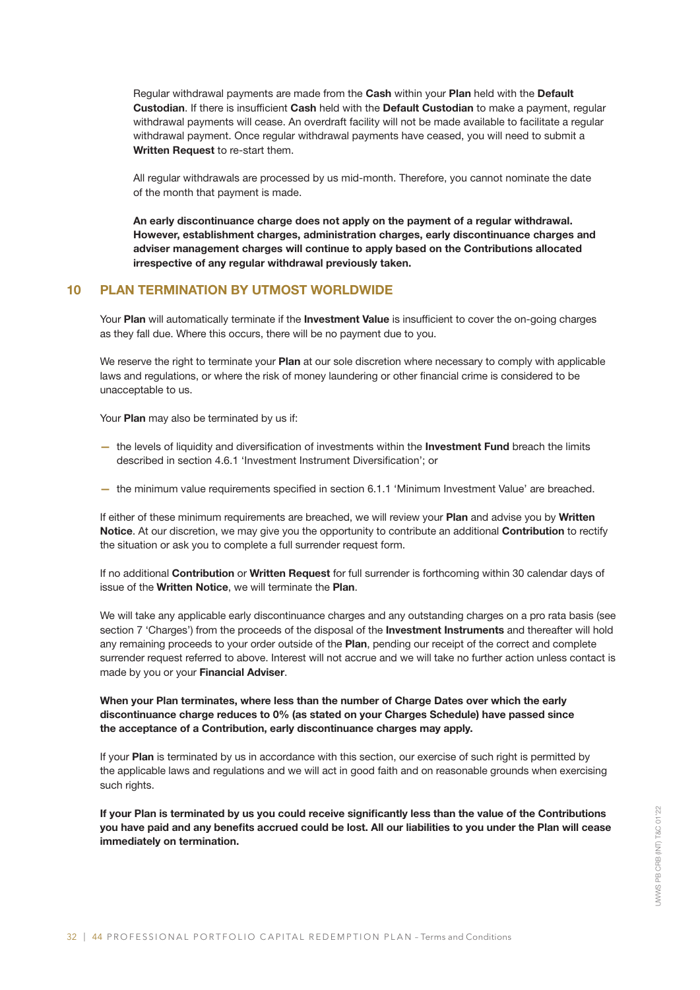Regular withdrawal payments are made from the Cash within your Plan held with the Default Custodian. If there is insufficient Cash held with the Default Custodian to make a payment, regular withdrawal payments will cease. An overdraft facility will not be made available to facilitate a regular withdrawal payment. Once regular withdrawal payments have ceased, you will need to submit a Written Request to re-start them.

All regular withdrawals are processed by us mid-month. Therefore, you cannot nominate the date of the month that payment is made.

An early discontinuance charge does not apply on the payment of a regular withdrawal. However, establishment charges, administration charges, early discontinuance charges and adviser management charges will continue to apply based on the Contributions allocated irrespective of any regular withdrawal previously taken.

## 10 PLAN TERMINATION BY UTMOST WORLDWIDE

Your Plan will automatically terminate if the Investment Value is insufficient to cover the on-going charges as they fall due. Where this occurs, there will be no payment due to you.

We reserve the right to terminate your **Plan** at our sole discretion where necessary to comply with applicable laws and regulations, or where the risk of money laundering or other financial crime is considered to be unacceptable to us.

Your Plan may also be terminated by us if:

- the levels of liquidity and diversification of investments within the Investment Fund breach the limits described in section 4.6.1 'Investment Instrument Diversification'; or
- the minimum value requirements specified in section 6.1.1 'Minimum Investment Value' are breached.

If either of these minimum requirements are breached, we will review your Plan and advise you by Written Notice. At our discretion, we may give you the opportunity to contribute an additional Contribution to rectify the situation or ask you to complete a full surrender request form.

If no additional Contribution or Written Request for full surrender is forthcoming within 30 calendar days of issue of the Written Notice, we will terminate the Plan.

We will take any applicable early discontinuance charges and any outstanding charges on a pro rata basis (see section 7 'Charges') from the proceeds of the disposal of the **Investment Instruments** and thereafter will hold any remaining proceeds to your order outside of the Plan, pending our receipt of the correct and complete surrender request referred to above. Interest will not accrue and we will take no further action unless contact is made by you or your Financial Adviser.

When your Plan terminates, where less than the number of Charge Dates over which the early discontinuance charge reduces to 0% (as stated on your Charges Schedule) have passed since the acceptance of a Contribution, early discontinuance charges may apply.

If your Plan is terminated by us in accordance with this section, our exercise of such right is permitted by the applicable laws and regulations and we will act in good faith and on reasonable grounds when exercising such rights.

If your Plan is terminated by us you could receive significantly less than the value of the Contributions you have paid and any benefits accrued could be lost. All our liabilities to you under the Plan will cease immediately on termination.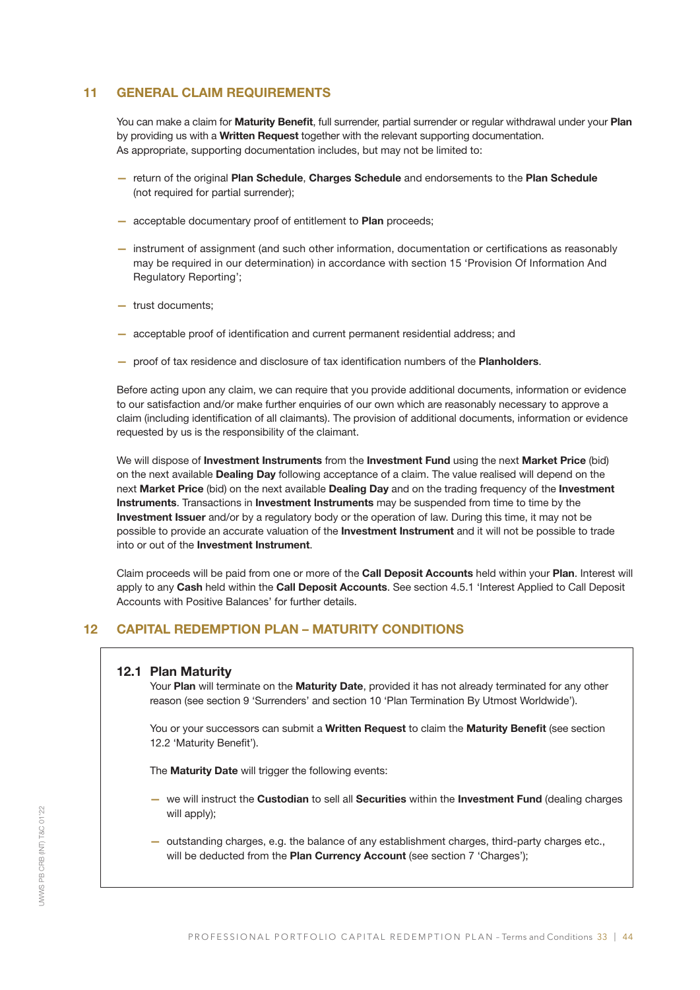## 11 GENERAL CLAIM REQUIREMENTS

You can make a claim for Maturity Benefit, full surrender, partial surrender or regular withdrawal under your Plan by providing us with a Written Request together with the relevant supporting documentation. As appropriate, supporting documentation includes, but may not be limited to:

- return of the original Plan Schedule, Charges Schedule and endorsements to the Plan Schedule (not required for partial surrender);
- acceptable documentary proof of entitlement to Plan proceeds;
- instrument of assignment (and such other information, documentation or certifications as reasonably may be required in our determination) in accordance with section 15 'Provision Of Information And Regulatory Reporting';
- trust documents;
- acceptable proof of identification and current permanent residential address; and
- proof of tax residence and disclosure of tax identification numbers of the Planholders.

Before acting upon any claim, we can require that you provide additional documents, information or evidence to our satisfaction and/or make further enquiries of our own which are reasonably necessary to approve a claim (including identification of all claimants). The provision of additional documents, information or evidence requested by us is the responsibility of the claimant.

We will dispose of Investment Instruments from the Investment Fund using the next Market Price (bid) on the next available Dealing Day following acceptance of a claim. The value realised will depend on the next Market Price (bid) on the next available Dealing Day and on the trading frequency of the Investment Instruments. Transactions in Investment Instruments may be suspended from time to time by the Investment Issuer and/or by a regulatory body or the operation of law. During this time, it may not be possible to provide an accurate valuation of the Investment Instrument and it will not be possible to trade into or out of the Investment Instrument.

Claim proceeds will be paid from one or more of the Call Deposit Accounts held within your Plan. Interest will apply to any Cash held within the Call Deposit Accounts. See section 4.5.1 'Interest Applied to Call Deposit Accounts with Positive Balances' for further details.

## 12 CAPITAL REDEMPTION PLAN – MATURITY CONDITIONS

## 12.1 Plan Maturity

Your Plan will terminate on the Maturity Date, provided it has not already terminated for any other reason (see section 9 'Surrenders' and section 10 'Plan Termination By Utmost Worldwide').

You or your successors can submit a Written Request to claim the Maturity Benefit (see section 12.2 'Maturity Benefit').

The **Maturity Date** will trigger the following events:

- we will instruct the Custodian to sell all Securities within the Investment Fund (dealing charges will apply);
- outstanding charges, e.g. the balance of any establishment charges, third-party charges etc., will be deducted from the Plan Currency Account (see section 7 'Charges');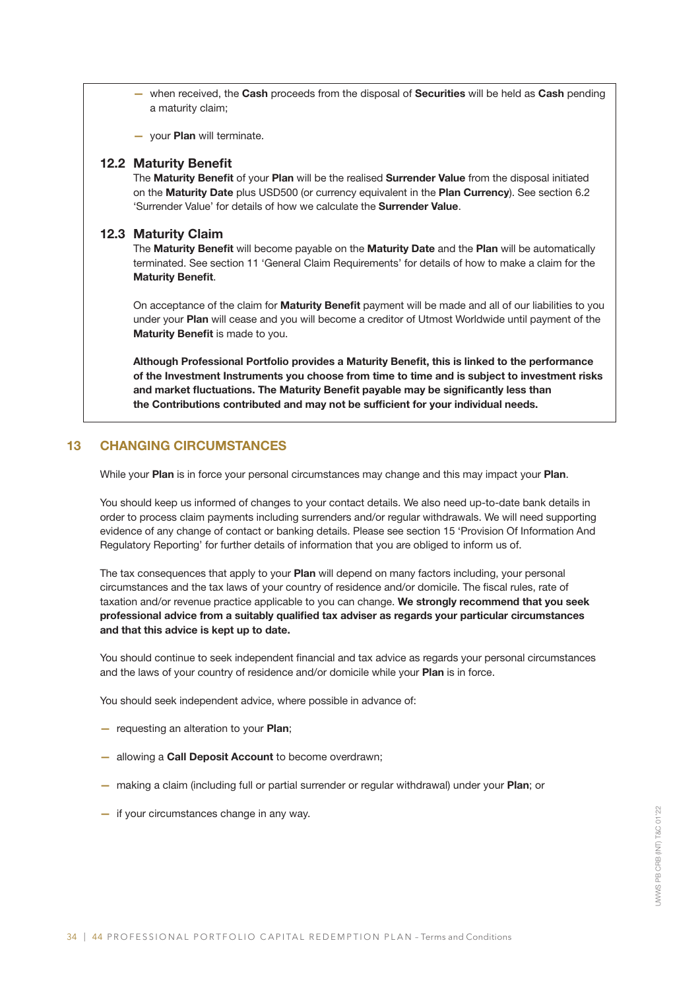- when received, the Cash proceeds from the disposal of Securities will be held as Cash pending a maturity claim;
- your Plan will terminate.

#### 12.2 Maturity Benefit

The Maturity Benefit of your Plan will be the realised Surrender Value from the disposal initiated on the Maturity Date plus USD500 (or currency equivalent in the Plan Currency). See section 6.2 'Surrender Value' for details of how we calculate the Surrender Value.

#### 12.3 Maturity Claim

The Maturity Benefit will become payable on the Maturity Date and the Plan will be automatically terminated. See section 11 'General Claim Requirements' for details of how to make a claim for the Maturity Benefit.

On acceptance of the claim for Maturity Benefit payment will be made and all of our liabilities to you under your Plan will cease and you will become a creditor of Utmost Worldwide until payment of the Maturity Benefit is made to you.

Although Professional Portfolio provides a Maturity Benefit, this is linked to the performance of the Investment Instruments you choose from time to time and is subject to investment risks and market fluctuations. The Maturity Benefit payable may be significantly less than the Contributions contributed and may not be sufficient for your individual needs.

## 13 CHANGING CIRCUMSTANCES

While your Plan is in force your personal circumstances may change and this may impact your Plan.

You should keep us informed of changes to your contact details. We also need up-to-date bank details in order to process claim payments including surrenders and/or regular withdrawals. We will need supporting evidence of any change of contact or banking details. Please see section 15 'Provision Of Information And Regulatory Reporting' for further details of information that you are obliged to inform us of.

The tax consequences that apply to your Plan will depend on many factors including, your personal circumstances and the tax laws of your country of residence and/or domicile. The fiscal rules, rate of taxation and/or revenue practice applicable to you can change. We strongly recommend that you seek professional advice from a suitably qualified tax adviser as regards your particular circumstances and that this advice is kept up to date.

You should continue to seek independent financial and tax advice as regards your personal circumstances and the laws of your country of residence and/or domicile while your Plan is in force.

You should seek independent advice, where possible in advance of:

- requesting an alteration to your Plan;
- allowing a Call Deposit Account to become overdrawn;
- making a claim (including full or partial surrender or regular withdrawal) under your Plan; or
- if your circumstances change in any way.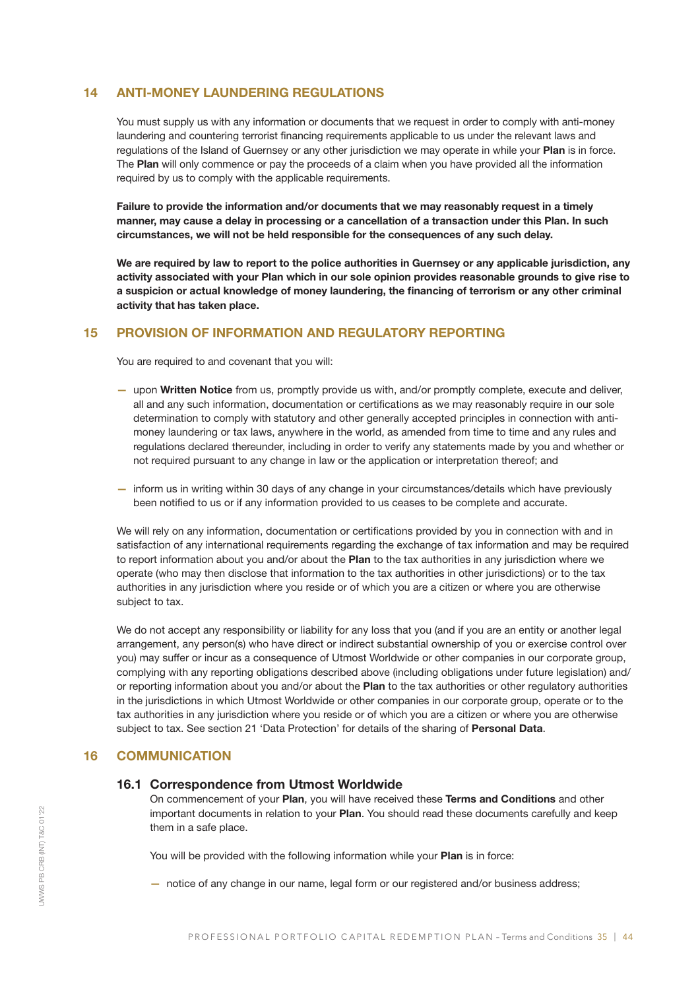## 14 ANTI-MONEY LAUNDERING REGULATIONS

You must supply us with any information or documents that we request in order to comply with anti-money laundering and countering terrorist financing requirements applicable to us under the relevant laws and regulations of the Island of Guernsey or any other jurisdiction we may operate in while your Plan is in force. The Plan will only commence or pay the proceeds of a claim when you have provided all the information required by us to comply with the applicable requirements.

Failure to provide the information and/or documents that we may reasonably request in a timely manner, may cause a delay in processing or a cancellation of a transaction under this Plan. In such circumstances, we will not be held responsible for the consequences of any such delay.

We are required by law to report to the police authorities in Guernsey or any applicable jurisdiction, any activity associated with your Plan which in our sole opinion provides reasonable grounds to give rise to a suspicion or actual knowledge of money laundering, the financing of terrorism or any other criminal activity that has taken place.

## 15 PROVISION OF INFORMATION AND REGULATORY REPORTING

You are required to and covenant that you will:

- upon Written Notice from us, promptly provide us with, and/or promptly complete, execute and deliver, all and any such information, documentation or certifications as we may reasonably require in our sole determination to comply with statutory and other generally accepted principles in connection with antimoney laundering or tax laws, anywhere in the world, as amended from time to time and any rules and regulations declared thereunder, including in order to verify any statements made by you and whether or not required pursuant to any change in law or the application or interpretation thereof; and
- inform us in writing within 30 days of any change in your circumstances/details which have previously been notified to us or if any information provided to us ceases to be complete and accurate.

We will rely on any information, documentation or certifications provided by you in connection with and in satisfaction of any international requirements regarding the exchange of tax information and may be required to report information about you and/or about the Plan to the tax authorities in any jurisdiction where we operate (who may then disclose that information to the tax authorities in other jurisdictions) or to the tax authorities in any jurisdiction where you reside or of which you are a citizen or where you are otherwise subject to tax.

We do not accept any responsibility or liability for any loss that you (and if you are an entity or another legal arrangement, any person(s) who have direct or indirect substantial ownership of you or exercise control over you) may suffer or incur as a consequence of Utmost Worldwide or other companies in our corporate group, complying with any reporting obligations described above (including obligations under future legislation) and/ or reporting information about you and/or about the Plan to the tax authorities or other regulatory authorities in the jurisdictions in which Utmost Worldwide or other companies in our corporate group, operate or to the tax authorities in any jurisdiction where you reside or of which you are a citizen or where you are otherwise subject to tax. See section 21 'Data Protection' for details of the sharing of Personal Data.

## 16 COMMUNICATION

## 16.1 Correspondence from Utmost Worldwide

On commencement of your Plan, you will have received these Terms and Conditions and other important documents in relation to your Plan. You should read these documents carefully and keep them in a safe place.

You will be provided with the following information while your Plan is in force:

— notice of any change in our name, legal form or our registered and/or business address;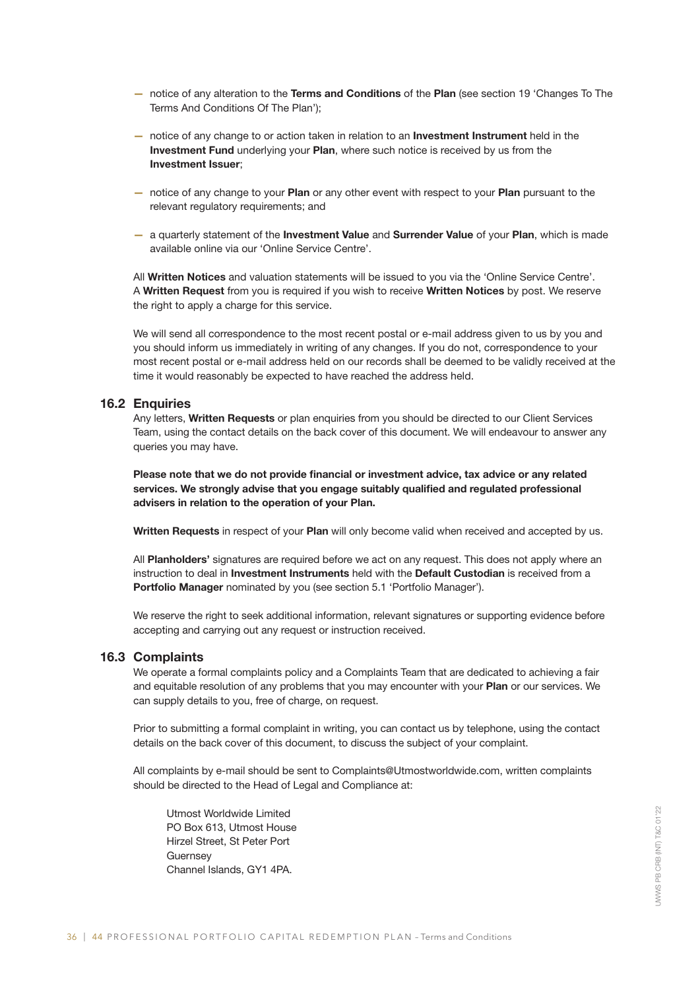- notice of any alteration to the Terms and Conditions of the Plan (see section 19 'Changes To The Terms And Conditions Of The Plan');
- notice of any change to or action taken in relation to an Investment Instrument held in the Investment Fund underlying your Plan, where such notice is received by us from the Investment Issuer;
- notice of any change to your Plan or any other event with respect to your Plan pursuant to the relevant regulatory requirements; and
- a quarterly statement of the Investment Value and Surrender Value of your Plan, which is made available online via our 'Online Service Centre'.

All Written Notices and valuation statements will be issued to you via the 'Online Service Centre'. A Written Request from you is required if you wish to receive Written Notices by post. We reserve the right to apply a charge for this service.

We will send all correspondence to the most recent postal or e-mail address given to us by you and you should inform us immediately in writing of any changes. If you do not, correspondence to your most recent postal or e-mail address held on our records shall be deemed to be validly received at the time it would reasonably be expected to have reached the address held.

#### 16.2 Enquiries

Any letters, Written Requests or plan enquiries from you should be directed to our Client Services Team, using the contact details on the back cover of this document. We will endeavour to answer any queries you may have.

Please note that we do not provide financial or investment advice, tax advice or any related services. We strongly advise that you engage suitably qualified and regulated professional advisers in relation to the operation of your Plan.

Written Requests in respect of your Plan will only become valid when received and accepted by us.

All Planholders' signatures are required before we act on any request. This does not apply where an instruction to deal in Investment Instruments held with the Default Custodian is received from a Portfolio Manager nominated by you (see section 5.1 'Portfolio Manager').

We reserve the right to seek additional information, relevant signatures or supporting evidence before accepting and carrying out any request or instruction received.

#### 16.3 Complaints

We operate a formal complaints policy and a Complaints Team that are dedicated to achieving a fair and equitable resolution of any problems that you may encounter with your Plan or our services. We can supply details to you, free of charge, on request.

Prior to submitting a formal complaint in writing, you can contact us by telephone, using the contact details on the back cover of this document, to discuss the subject of your complaint.

All complaints by e-mail should be sent to Complaints@Utmostworldwide.com, written complaints should be directed to the Head of Legal and Compliance at:

Utmost Worldwide Limited PO Box 613, Utmost House Hirzel Street, St Peter Port **Guernsey** Channel Islands, GY1 4PA.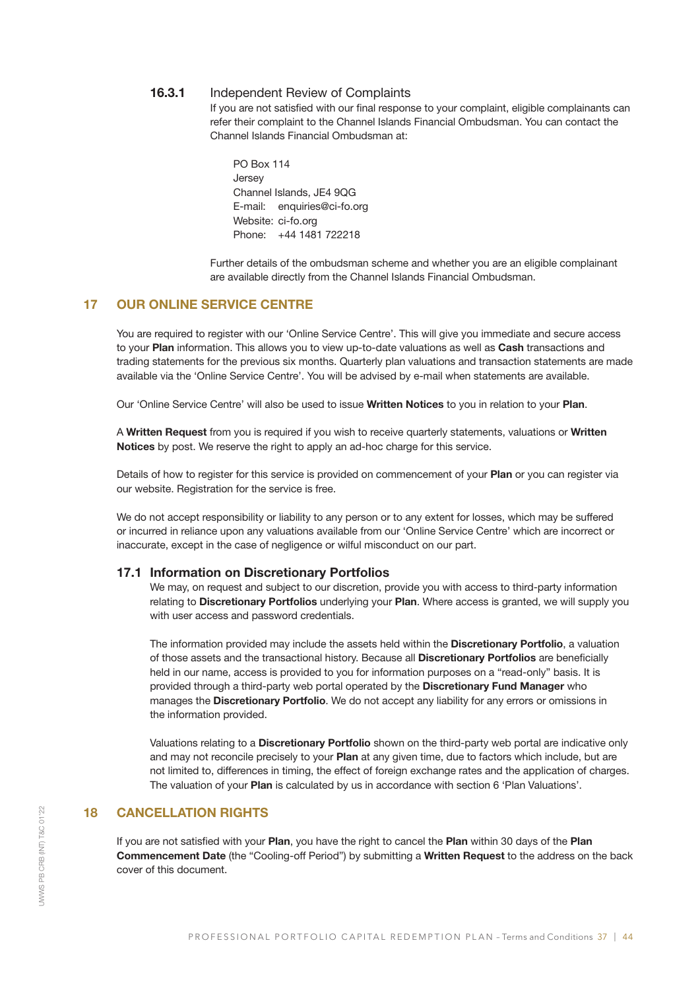## 16.3.1 Independent Review of Complaints

 If you are not satisfied with our final response to your complaint, eligible complainants can refer their complaint to the Channel Islands Financial Ombudsman. You can contact the Channel Islands Financial Ombudsman at:

PO Box 114 **Jersey** Channel Islands, JE4 9QG E-mail: enquiries@ci-fo.org Website: ci-fo.org Phone: +44 1481 722218

 Further details of the ombudsman scheme and whether you are an eligible complainant are available directly from the Channel Islands Financial Ombudsman.

## 17 OUR ONLINE SERVICE CENTRE

You are required to register with our 'Online Service Centre'. This will give you immediate and secure access to your Plan information. This allows you to view up-to-date valuations as well as Cash transactions and trading statements for the previous six months. Quarterly plan valuations and transaction statements are made available via the 'Online Service Centre'. You will be advised by e-mail when statements are available.

Our 'Online Service Centre' will also be used to issue Written Notices to you in relation to your Plan.

A Written Request from you is required if you wish to receive quarterly statements, valuations or Written Notices by post. We reserve the right to apply an ad-hoc charge for this service.

Details of how to register for this service is provided on commencement of your Plan or you can register via our website. Registration for the service is free.

We do not accept responsibility or liability to any person or to any extent for losses, which may be suffered or incurred in reliance upon any valuations available from our 'Online Service Centre' which are incorrect or inaccurate, except in the case of negligence or wilful misconduct on our part.

#### 17.1 Information on Discretionary Portfolios

We may, on request and subject to our discretion, provide you with access to third-party information relating to Discretionary Portfolios underlying your Plan. Where access is granted, we will supply you with user access and password credentials.

The information provided may include the assets held within the **Discretionary Portfolio**, a valuation of those assets and the transactional history. Because all Discretionary Portfolios are beneficially held in our name, access is provided to you for information purposes on a "read-only" basis. It is provided through a third-party web portal operated by the Discretionary Fund Manager who manages the Discretionary Portfolio. We do not accept any liability for any errors or omissions in the information provided.

Valuations relating to a Discretionary Portfolio shown on the third-party web portal are indicative only and may not reconcile precisely to your Plan at any given time, due to factors which include, but are not limited to, differences in timing, the effect of foreign exchange rates and the application of charges. The valuation of your Plan is calculated by us in accordance with section 6 'Plan Valuations'.

## 18 CANCELLATION RIGHTS

If you are not satisfied with your Plan, you have the right to cancel the Plan within 30 days of the Plan Commencement Date (the "Cooling-off Period") by submitting a Written Request to the address on the back cover of this document.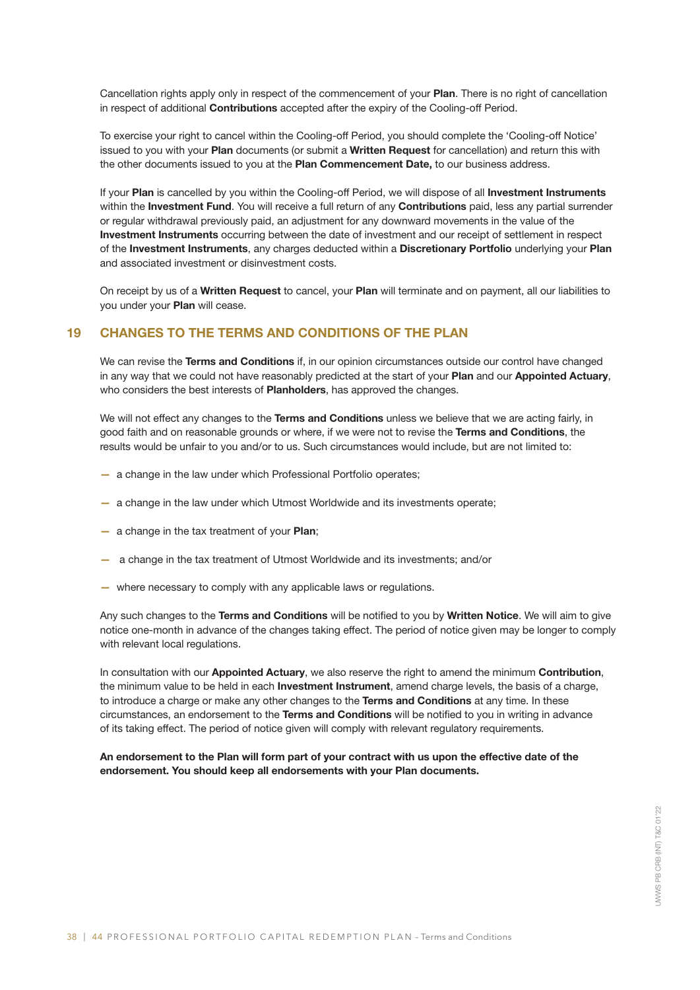Cancellation rights apply only in respect of the commencement of your Plan. There is no right of cancellation in respect of additional Contributions accepted after the expiry of the Cooling-off Period.

To exercise your right to cancel within the Cooling-off Period, you should complete the 'Cooling-off Notice' issued to you with your Plan documents (or submit a Written Request for cancellation) and return this with the other documents issued to you at the Plan Commencement Date, to our business address.

If your Plan is cancelled by you within the Cooling-off Period, we will dispose of all Investment Instruments within the Investment Fund. You will receive a full return of any Contributions paid, less any partial surrender or regular withdrawal previously paid, an adjustment for any downward movements in the value of the Investment Instruments occurring between the date of investment and our receipt of settlement in respect of the Investment Instruments, any charges deducted within a Discretionary Portfolio underlying your Plan and associated investment or disinvestment costs.

On receipt by us of a Written Request to cancel, your Plan will terminate and on payment, all our liabilities to you under your Plan will cease.

## 19 CHANGES TO THE TERMS AND CONDITIONS OF THE PLAN

We can revise the Terms and Conditions if, in our opinion circumstances outside our control have changed in any way that we could not have reasonably predicted at the start of your Plan and our Appointed Actuary, who considers the best interests of Planholders, has approved the changes.

We will not effect any changes to the Terms and Conditions unless we believe that we are acting fairly, in good faith and on reasonable grounds or where, if we were not to revise the Terms and Conditions, the results would be unfair to you and/or to us. Such circumstances would include, but are not limited to:

- a change in the law under which Professional Portfolio operates;
- a change in the law under which Utmost Worldwide and its investments operate;
- a change in the tax treatment of your Plan;
- a change in the tax treatment of Utmost Worldwide and its investments; and/or
- where necessary to comply with any applicable laws or regulations.

Any such changes to the Terms and Conditions will be notified to you by Written Notice. We will aim to give notice one-month in advance of the changes taking effect. The period of notice given may be longer to comply with relevant local regulations.

In consultation with our Appointed Actuary, we also reserve the right to amend the minimum Contribution, the minimum value to be held in each Investment Instrument, amend charge levels, the basis of a charge, to introduce a charge or make any other changes to the Terms and Conditions at any time. In these circumstances, an endorsement to the Terms and Conditions will be notified to you in writing in advance of its taking effect. The period of notice given will comply with relevant regulatory requirements.

An endorsement to the Plan will form part of your contract with us upon the effective date of the endorsement. You should keep all endorsements with your Plan documents.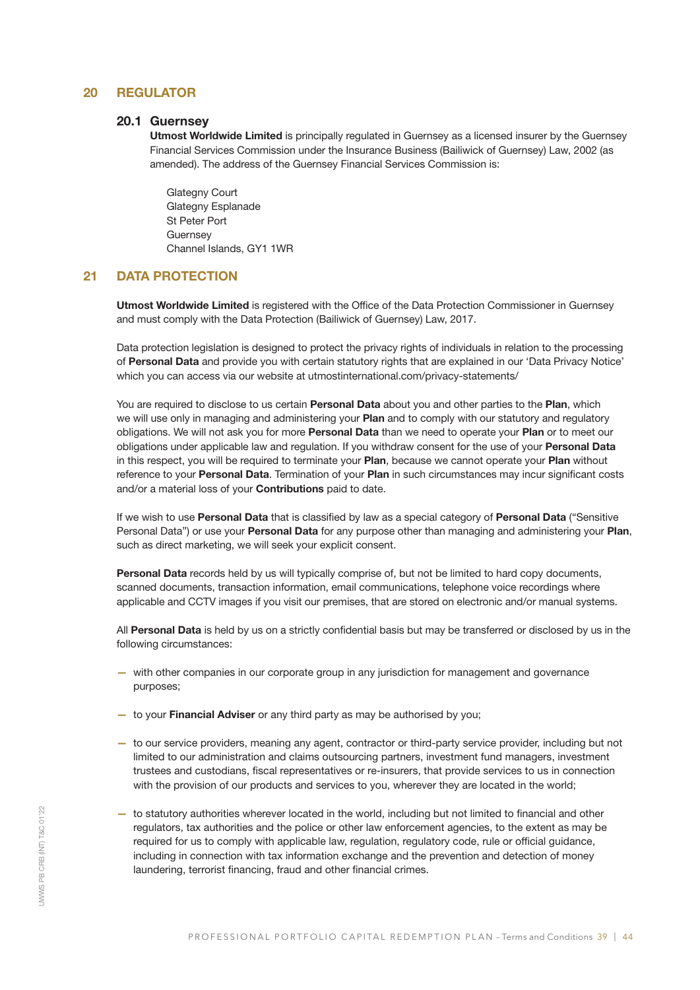## 20 REGULATOR

## 20.1 Guernsey

Utmost Worldwide Limited is principally regulated in Guernsey as a licensed insurer by the Guernsey Financial Services Commission under the Insurance Business (Bailiwick of Guernsey) Law, 2002 (as amended). The address of the Guernsey Financial Services Commission is:

Glategny Court Glategny Esplanade St Peter Port **Guernsey** Channel Islands, GY1 1WR

## 21 DATA PROTECTION

Utmost Worldwide Limited is registered with the Office of the Data Protection Commissioner in Guernsey and must comply with the Data Protection (Bailiwick of Guernsey) Law, 2017.

Data protection legislation is designed to protect the privacy rights of individuals in relation to the processing of Personal Data and provide you with certain statutory rights that are explained in our 'Data Privacy Notice' which you can access via our website at utmostinternational.com/privacy-statements/

You are required to disclose to us certain Personal Data about you and other parties to the Plan, which we will use only in managing and administering your Plan and to comply with our statutory and regulatory obligations. We will not ask you for more Personal Data than we need to operate your Plan or to meet our obligations under applicable law and regulation. If you withdraw consent for the use of your Personal Data in this respect, you will be required to terminate your Plan, because we cannot operate your Plan without reference to your Personal Data. Termination of your Plan in such circumstances may incur significant costs and/or a material loss of your Contributions paid to date.

If we wish to use Personal Data that is classified by law as a special category of Personal Data ("Sensitive Personal Data") or use your **Personal Data** for any purpose other than managing and administering your **Plan**, such as direct marketing, we will seek your explicit consent.

Personal Data records held by us will typically comprise of, but not be limited to hard copy documents, scanned documents, transaction information, email communications, telephone voice recordings where applicable and CCTV images if you visit our premises, that are stored on electronic and/or manual systems.

All Personal Data is held by us on a strictly confidential basis but may be transferred or disclosed by us in the following circumstances:

- with other companies in our corporate group in any jurisdiction for management and governance purposes;
- to your **Financial Adviser** or any third party as may be authorised by you;
- to our service providers, meaning any agent, contractor or third-party service provider, including but not limited to our administration and claims outsourcing partners, investment fund managers, investment trustees and custodians, fiscal representatives or re-insurers, that provide services to us in connection with the provision of our products and services to you, wherever they are located in the world;
- to statutory authorities wherever located in the world, including but not limited to financial and other regulators, tax authorities and the police or other law enforcement agencies, to the extent as may be required for us to comply with applicable law, regulation, regulatory code, rule or official guidance, including in connection with tax information exchange and the prevention and detection of money laundering, terrorist financing, fraud and other financial crimes.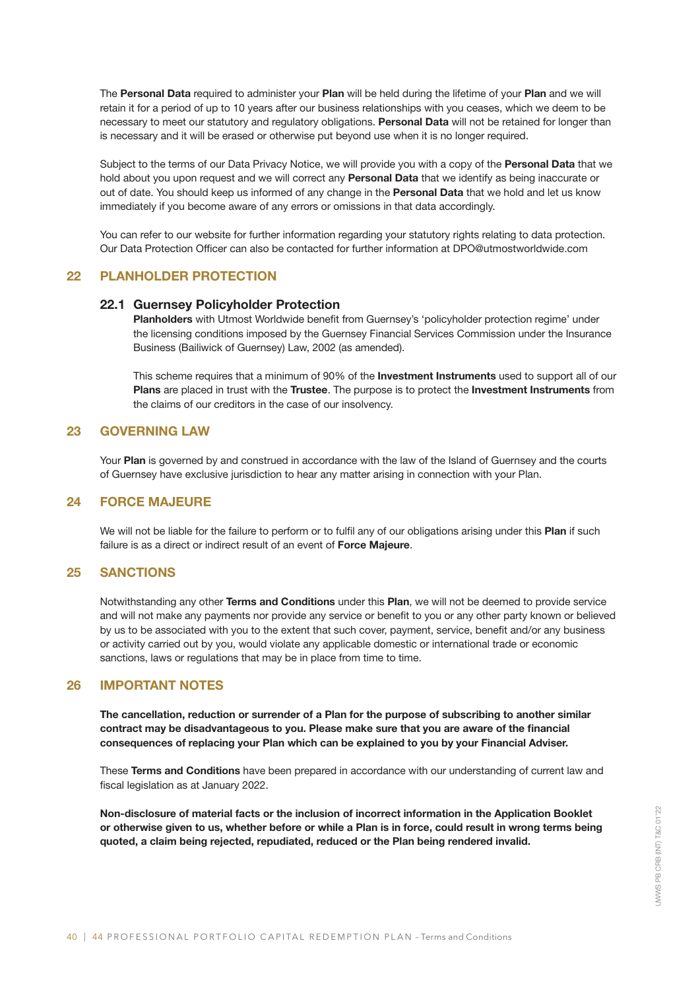The Personal Data required to administer your Plan will be held during the lifetime of your Plan and we will retain it for a period of up to 10 years after our business relationships with you ceases, which we deem to be necessary to meet our statutory and regulatory obligations. Personal Data will not be retained for longer than is necessary and it will be erased or otherwise put beyond use when it is no longer required.

Subject to the terms of our Data Privacy Notice, we will provide you with a copy of the Personal Data that we hold about you upon request and we will correct any **Personal Data** that we identify as being inaccurate or out of date. You should keep us informed of any change in the Personal Data that we hold and let us know immediately if you become aware of any errors or omissions in that data accordingly.

You can refer to our website for further information regarding your statutory rights relating to data protection. Our Data Protection Officer can also be contacted for further information at DPO@utmostworldwide.com

## 22 PLANHOLDER PROTECTION

#### 22.1 Guernsey Policyholder Protection

Planholders with Utmost Worldwide benefit from Guernsey's 'policyholder protection regime' under the licensing conditions imposed by the Guernsey Financial Services Commission under the Insurance Business (Bailiwick of Guernsey) Law, 2002 (as amended).

This scheme requires that a minimum of 90% of the **Investment Instruments** used to support all of our Plans are placed in trust with the Trustee. The purpose is to protect the Investment Instruments from the claims of our creditors in the case of our insolvency.

## 23 GOVERNING LAW

Your Plan is governed by and construed in accordance with the law of the Island of Guernsey and the courts of Guernsey have exclusive jurisdiction to hear any matter arising in connection with your Plan.

## 24 FORCE MAJEURE

We will not be liable for the failure to perform or to fulfil any of our obligations arising under this Plan if such failure is as a direct or indirect result of an event of Force Majeure.

## 25 SANCTIONS

Notwithstanding any other Terms and Conditions under this Plan, we will not be deemed to provide service and will not make any payments nor provide any service or benefit to you or any other party known or believed by us to be associated with you to the extent that such cover, payment, service, benefit and/or any business or activity carried out by you, would violate any applicable domestic or international trade or economic sanctions, laws or regulations that may be in place from time to time.

#### 26 IMPORTANT NOTES

The cancellation, reduction or surrender of a Plan for the purpose of subscribing to another similar contract may be disadvantageous to you. Please make sure that you are aware of the financial consequences of replacing your Plan which can be explained to you by your Financial Adviser.

These Terms and Conditions have been prepared in accordance with our understanding of current law and fiscal legislation as at January 2022.

Non-disclosure of material facts or the inclusion of incorrect information in the Application Booklet or otherwise given to us, whether before or while a Plan is in force, could result in wrong terms being quoted, a claim being rejected, repudiated, reduced or the Plan being rendered invalid.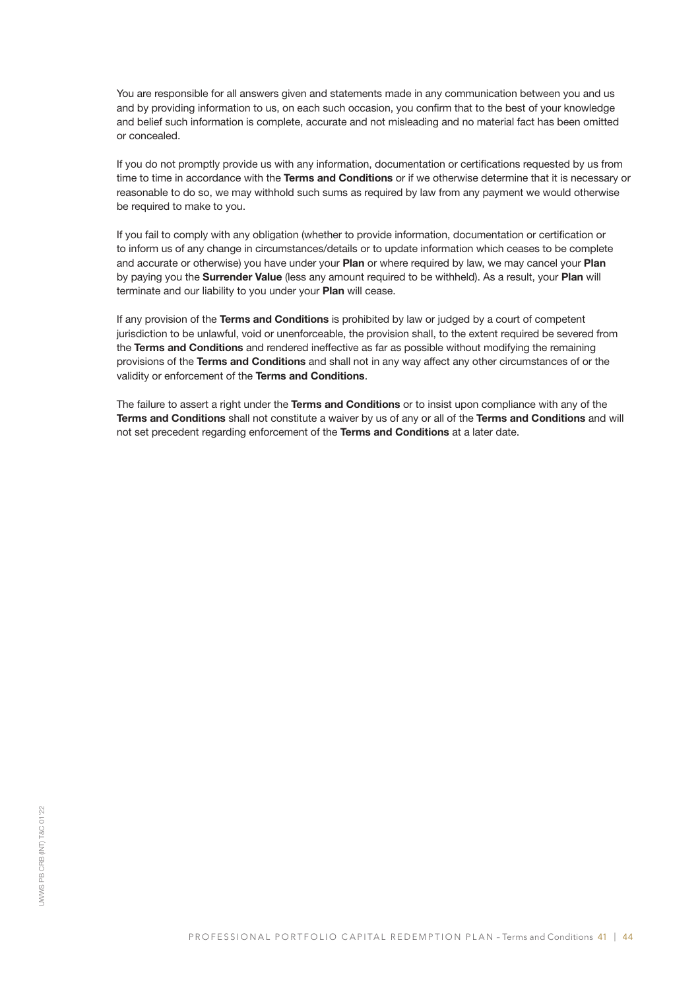You are responsible for all answers given and statements made in any communication between you and us and by providing information to us, on each such occasion, you confirm that to the best of your knowledge and belief such information is complete, accurate and not misleading and no material fact has been omitted or concealed.

If you do not promptly provide us with any information, documentation or certifications requested by us from time to time in accordance with the Terms and Conditions or if we otherwise determine that it is necessary or reasonable to do so, we may withhold such sums as required by law from any payment we would otherwise be required to make to you.

If you fail to comply with any obligation (whether to provide information, documentation or certification or to inform us of any change in circumstances/details or to update information which ceases to be complete and accurate or otherwise) you have under your Plan or where required by law, we may cancel your Plan by paying you the **Surrender Value** (less any amount required to be withheld). As a result, your Plan will terminate and our liability to you under your Plan will cease.

If any provision of the Terms and Conditions is prohibited by law or judged by a court of competent jurisdiction to be unlawful, void or unenforceable, the provision shall, to the extent required be severed from the Terms and Conditions and rendered ineffective as far as possible without modifying the remaining provisions of the Terms and Conditions and shall not in any way affect any other circumstances of or the validity or enforcement of the Terms and Conditions.

The failure to assert a right under the Terms and Conditions or to insist upon compliance with any of the Terms and Conditions shall not constitute a waiver by us of any or all of the Terms and Conditions and will not set precedent regarding enforcement of the Terms and Conditions at a later date.